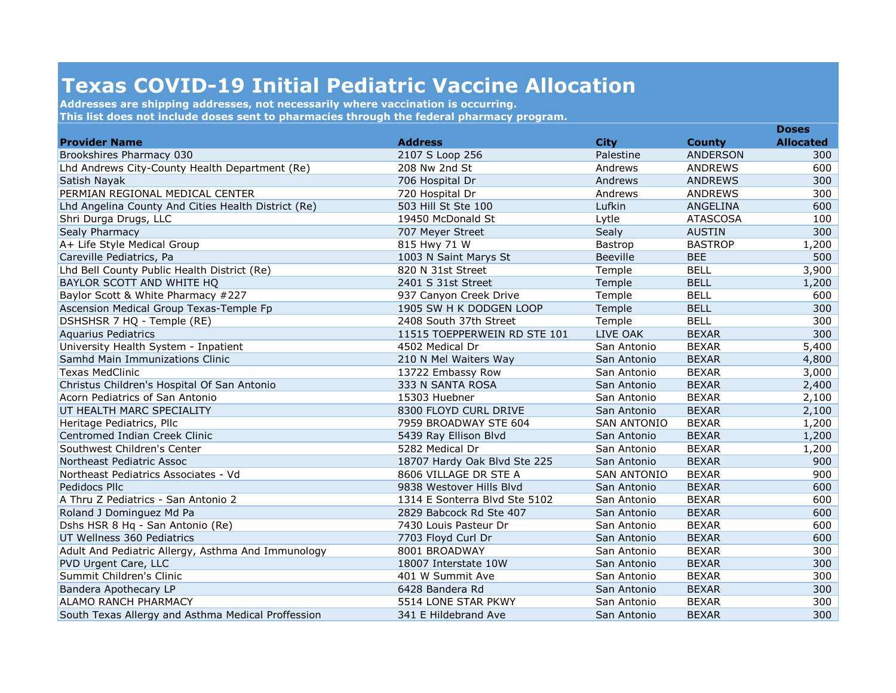## **Texas COVID-19 Initial Pediatric Vaccine Allocation**

**Addresses are shipping addresses, not necessarily where vaccination is occurring. This list does not include doses sent to pharmacies through the federal pharmacy program.**

|                                                     | <b>Address</b>                |                    |                 |                  |
|-----------------------------------------------------|-------------------------------|--------------------|-----------------|------------------|
| <b>Provider Name</b>                                |                               | <b>City</b>        | <b>County</b>   | <b>Allocated</b> |
| Brookshires Pharmacy 030                            | 2107 S Loop 256               | Palestine          | <b>ANDERSON</b> | 300              |
| Lhd Andrews City-County Health Department (Re)      | 208 Nw 2nd St                 | Andrews            | ANDREWS         | 600              |
| Satish Nayak                                        | 706 Hospital Dr               | Andrews            | <b>ANDREWS</b>  | 300              |
| PERMIAN REGIONAL MEDICAL CENTER                     | 720 Hospital Dr               | Andrews            | <b>ANDREWS</b>  | 300              |
| Lhd Angelina County And Cities Health District (Re) | 503 Hill St Ste 100           | Lufkin             | ANGELINA        | 600              |
| Shri Durga Drugs, LLC                               | 19450 McDonald St             | Lytle              | <b>ATASCOSA</b> | 100              |
| Sealy Pharmacy                                      | 707 Meyer Street              | Sealy              | <b>AUSTIN</b>   | 300              |
| A+ Life Style Medical Group                         | 815 Hwy 71 W                  | Bastrop            | <b>BASTROP</b>  | 1,200            |
| Careville Pediatrics, Pa                            | 1003 N Saint Marys St         | <b>Beeville</b>    | <b>BEE</b>      | 500              |
| Lhd Bell County Public Health District (Re)         | 820 N 31st Street             | Temple             | <b>BELL</b>     | 3,900            |
| BAYLOR SCOTT AND WHITE HQ                           | 2401 S 31st Street            | Temple             | <b>BELL</b>     | 1,200            |
| Baylor Scott & White Pharmacy #227                  | 937 Canyon Creek Drive        | Temple             | <b>BELL</b>     | 600              |
| Ascension Medical Group Texas-Temple Fp             | 1905 SW H K DODGEN LOOP       | Temple             | <b>BELL</b>     | 300              |
| DSHSHSR 7 HQ - Temple (RE)                          | 2408 South 37th Street        | Temple             | <b>BELL</b>     | 300              |
| <b>Aquarius Pediatrics</b>                          | 11515 TOEPPERWEIN RD STE 101  | LIVE OAK           | <b>BEXAR</b>    | 300              |
| University Health System - Inpatient                | 4502 Medical Dr               | San Antonio        | <b>BEXAR</b>    | 5,400            |
| Samhd Main Immunizations Clinic                     | 210 N Mel Waiters Way         | San Antonio        | <b>BEXAR</b>    | 4,800            |
| <b>Texas MedClinic</b>                              | 13722 Embassy Row             | San Antonio        | <b>BEXAR</b>    | 3,000            |
| Christus Children's Hospital Of San Antonio         | 333 N SANTA ROSA              | San Antonio        | <b>BEXAR</b>    | 2,400            |
| Acorn Pediatrics of San Antonio                     | 15303 Huebner                 | San Antonio        | <b>BEXAR</b>    | 2,100            |
| UT HEALTH MARC SPECIALITY                           | 8300 FLOYD CURL DRIVE         | San Antonio        | <b>BEXAR</b>    | 2,100            |
| Heritage Pediatrics, Pllc                           | 7959 BROADWAY STE 604         | <b>SAN ANTONIO</b> | <b>BEXAR</b>    | 1,200            |
| Centromed Indian Creek Clinic                       | 5439 Ray Ellison Blvd         | San Antonio        | <b>BEXAR</b>    | 1,200            |
| Southwest Children's Center                         | 5282 Medical Dr               | San Antonio        | <b>BEXAR</b>    | 1,200            |
| Northeast Pediatric Assoc                           | 18707 Hardy Oak Blvd Ste 225  | San Antonio        | <b>BEXAR</b>    | 900              |
| Northeast Pediatrics Associates - Vd                | 8606 VILLAGE DR STE A         | <b>SAN ANTONIO</b> | <b>BEXAR</b>    | 900              |
| Pedidocs Pllc                                       | 9838 Westover Hills Blyd      | San Antonio        | <b>BEXAR</b>    | 600              |
| A Thru Z Pediatrics - San Antonio 2                 | 1314 E Sonterra Blvd Ste 5102 | San Antonio        | <b>BEXAR</b>    | 600              |
| Roland J Dominguez Md Pa                            | 2829 Babcock Rd Ste 407       | San Antonio        | <b>BEXAR</b>    | 600              |
| Dshs HSR 8 Hq - San Antonio (Re)                    | 7430 Louis Pasteur Dr         | San Antonio        | <b>BEXAR</b>    | 600              |
| UT Wellness 360 Pediatrics                          | 7703 Floyd Curl Dr            | San Antonio        | <b>BEXAR</b>    | 600              |
| Adult And Pediatric Allergy, Asthma And Immunology  | 8001 BROADWAY                 | San Antonio        | <b>BEXAR</b>    | 300              |
| PVD Urgent Care, LLC                                | 18007 Interstate 10W          | San Antonio        | <b>BEXAR</b>    | 300              |
| Summit Children's Clinic                            | 401 W Summit Ave              | San Antonio        | <b>BEXAR</b>    | 300              |
| Bandera Apothecary LP                               | 6428 Bandera Rd               | San Antonio        | <b>BEXAR</b>    | 300              |
| ALAMO RANCH PHARMACY                                | 5514 LONE STAR PKWY           | San Antonio        | <b>BEXAR</b>    | 300              |
| South Texas Allergy and Asthma Medical Proffession  | 341 E Hildebrand Ave          | San Antonio        | <b>BEXAR</b>    | 300              |

**Doses**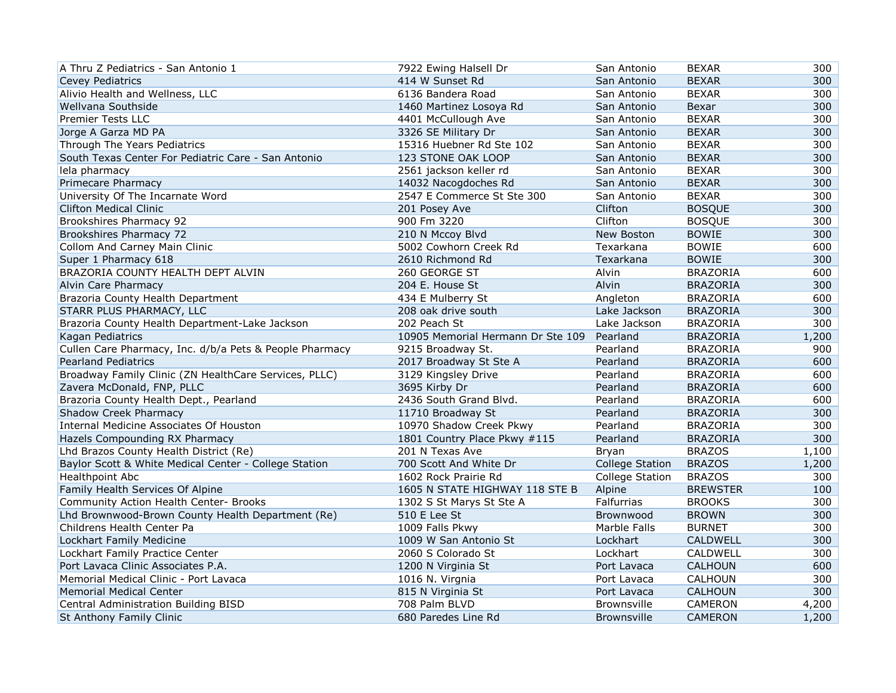| A Thru Z Pediatrics - San Antonio 1                     | 7922 Ewing Halsell Dr             | San Antonio            | <b>BEXAR</b>    | 300   |
|---------------------------------------------------------|-----------------------------------|------------------------|-----------------|-------|
| <b>Cevey Pediatrics</b>                                 | 414 W Sunset Rd                   | San Antonio            | <b>BEXAR</b>    | 300   |
| Alivio Health and Wellness, LLC                         | 6136 Bandera Road                 | San Antonio            | <b>BEXAR</b>    | 300   |
| Wellvana Southside                                      | 1460 Martinez Losoya Rd           | San Antonio            | Bexar           | 300   |
| <b>Premier Tests LLC</b>                                | 4401 McCullough Ave               | San Antonio            | <b>BEXAR</b>    | 300   |
| Jorge A Garza MD PA                                     | 3326 SE Military Dr               | San Antonio            | <b>BEXAR</b>    | 300   |
| Through The Years Pediatrics                            | 15316 Huebner Rd Ste 102          | San Antonio            | <b>BEXAR</b>    | 300   |
| South Texas Center For Pediatric Care - San Antonio     | 123 STONE OAK LOOP                | San Antonio            | <b>BEXAR</b>    | 300   |
| lela pharmacy                                           | 2561 jackson keller rd            | San Antonio            | <b>BEXAR</b>    | 300   |
| Primecare Pharmacy                                      | 14032 Nacogdoches Rd              | San Antonio            | <b>BEXAR</b>    | 300   |
| University Of The Incarnate Word                        | 2547 E Commerce St Ste 300        | San Antonio            | <b>BEXAR</b>    | 300   |
| <b>Clifton Medical Clinic</b>                           | 201 Posey Ave                     | Clifton                | <b>BOSQUE</b>   | 300   |
| Brookshires Pharmacy 92                                 | 900 Fm 3220                       | Clifton                | <b>BOSQUE</b>   | 300   |
| Brookshires Pharmacy 72                                 | 210 N Mccoy Blvd                  | New Boston             | <b>BOWIE</b>    | 300   |
| Collom And Carney Main Clinic                           | 5002 Cowhorn Creek Rd             | Texarkana              | <b>BOWIE</b>    | 600   |
| Super 1 Pharmacy 618                                    | 2610 Richmond Rd                  | Texarkana              | <b>BOWIE</b>    | 300   |
| BRAZORIA COUNTY HEALTH DEPT ALVIN                       | 260 GEORGE ST                     | Alvin                  | <b>BRAZORIA</b> | 600   |
| Alvin Care Pharmacy                                     | 204 E. House St                   | Alvin                  | <b>BRAZORIA</b> | 300   |
| Brazoria County Health Department                       | 434 E Mulberry St                 | Angleton               | <b>BRAZORIA</b> | 600   |
| STARR PLUS PHARMACY, LLC                                | 208 oak drive south               | Lake Jackson           | <b>BRAZORIA</b> | 300   |
| Brazoria County Health Department-Lake Jackson          | 202 Peach St                      | Lake Jackson           | <b>BRAZORIA</b> | 300   |
| Kagan Pediatrics                                        | 10905 Memorial Hermann Dr Ste 109 | Pearland               | <b>BRAZORIA</b> | 1,200 |
| Cullen Care Pharmacy, Inc. d/b/a Pets & People Pharmacy | 9215 Broadway St.                 | Pearland               | <b>BRAZORIA</b> | 900   |
| <b>Pearland Pediatrics</b>                              | 2017 Broadway St Ste A            | Pearland               | <b>BRAZORIA</b> | 600   |
| Broadway Family Clinic (ZN HealthCare Services, PLLC)   | 3129 Kingsley Drive               | Pearland               | <b>BRAZORIA</b> | 600   |
| Zavera McDonald, FNP, PLLC                              | 3695 Kirby Dr                     | Pearland               | <b>BRAZORIA</b> | 600   |
| Brazoria County Health Dept., Pearland                  | 2436 South Grand Blvd.            | Pearland               | <b>BRAZORIA</b> | 600   |
| Shadow Creek Pharmacy                                   | 11710 Broadway St                 | Pearland               | <b>BRAZORIA</b> | 300   |
| Internal Medicine Associates Of Houston                 | 10970 Shadow Creek Pkwy           | Pearland               | <b>BRAZORIA</b> | 300   |
| Hazels Compounding RX Pharmacy                          | 1801 Country Place Pkwy #115      | Pearland               | <b>BRAZORIA</b> | 300   |
| Lhd Brazos County Health District (Re)                  | 201 N Texas Ave                   | Bryan                  | <b>BRAZOS</b>   | 1,100 |
| Baylor Scott & White Medical Center - College Station   | 700 Scott And White Dr            | <b>College Station</b> | <b>BRAZOS</b>   | 1,200 |
| Healthpoint Abc                                         | 1602 Rock Prairie Rd              | <b>College Station</b> | <b>BRAZOS</b>   | 300   |
| Family Health Services Of Alpine                        | 1605 N STATE HIGHWAY 118 STE B    | Alpine                 | <b>BREWSTER</b> | 100   |
| Community Action Health Center- Brooks                  | 1302 S St Marys St Ste A          | Falfurrias             | <b>BROOKS</b>   | 300   |
| Lhd Brownwood-Brown County Health Department (Re)       | 510 E Lee St                      | Brownwood              | <b>BROWN</b>    | 300   |
| Childrens Health Center Pa                              | 1009 Falls Pkwy                   | Marble Falls           | <b>BURNET</b>   | 300   |
| Lockhart Family Medicine                                | 1009 W San Antonio St             | Lockhart               | CALDWELL        | 300   |
| Lockhart Family Practice Center                         | 2060 S Colorado St                | Lockhart               | CALDWELL        | 300   |
| Port Lavaca Clinic Associates P.A.                      | 1200 N Virginia St                | Port Lavaca            | <b>CALHOUN</b>  | 600   |
| Memorial Medical Clinic - Port Lavaca                   | 1016 N. Virgnia                   | Port Lavaca            | CALHOUN         | 300   |
| <b>Memorial Medical Center</b>                          | 815 N Virginia St                 | Port Lavaca            | CALHOUN         | 300   |
| Central Administration Building BISD                    | 708 Palm BLVD                     | <b>Brownsville</b>     | CAMERON         | 4,200 |
| St Anthony Family Clinic                                | 680 Paredes Line Rd               | <b>Brownsville</b>     | <b>CAMERON</b>  | 1,200 |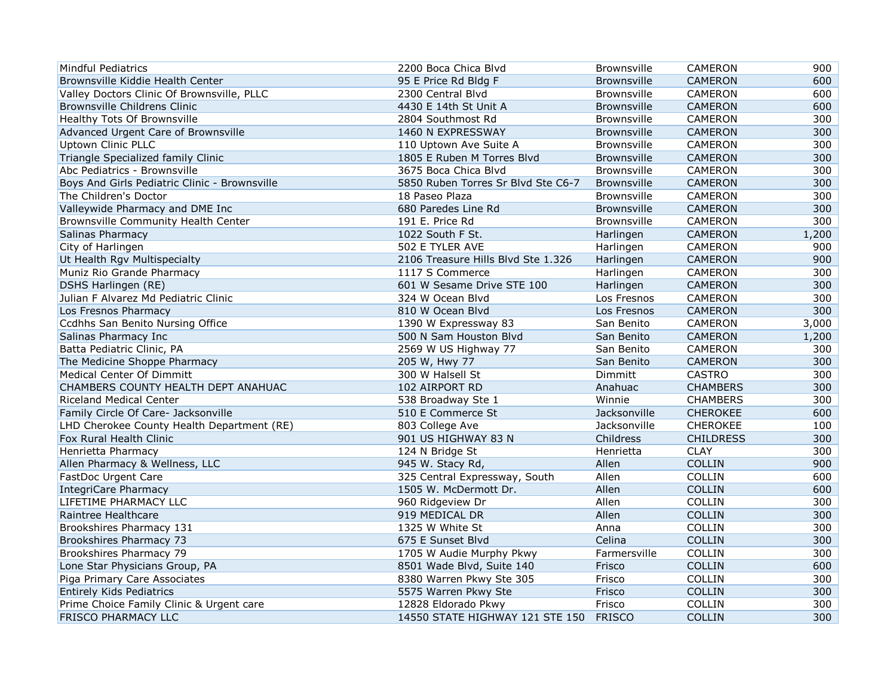| <b>Mindful Pediatrics</b>                     | 2200 Boca Chica Blvd               | Brownsville        | CAMERON          | 900   |
|-----------------------------------------------|------------------------------------|--------------------|------------------|-------|
| Brownsville Kiddie Health Center              | 95 E Price Rd Bldg F               | <b>Brownsville</b> | <b>CAMERON</b>   | 600   |
| Valley Doctors Clinic Of Brownsville, PLLC    | 2300 Central Blvd                  | Brownsville        | CAMERON          | 600   |
| Brownsville Childrens Clinic                  | 4430 E 14th St Unit A              | <b>Brownsville</b> | CAMERON          | 600   |
| Healthy Tots Of Brownsville                   | 2804 Southmost Rd                  | Brownsville        | <b>CAMERON</b>   | 300   |
| Advanced Urgent Care of Brownsville           | 1460 N EXPRESSWAY                  | <b>Brownsville</b> | <b>CAMERON</b>   | 300   |
| <b>Uptown Clinic PLLC</b>                     | 110 Uptown Ave Suite A             | Brownsville        | CAMERON          | 300   |
| Triangle Specialized family Clinic            | 1805 E Ruben M Torres Blvd         | Brownsville        | <b>CAMERON</b>   | 300   |
| Abc Pediatrics - Brownsville                  | 3675 Boca Chica Blyd               | Brownsville        | CAMERON          | 300   |
| Boys And Girls Pediatric Clinic - Brownsville | 5850 Ruben Torres Sr Blvd Ste C6-7 | Brownsville        | <b>CAMERON</b>   | 300   |
| The Children's Doctor                         | 18 Paseo Plaza                     | Brownsville        | CAMERON          | 300   |
| Valleywide Pharmacy and DME Inc               | 680 Paredes Line Rd                | <b>Brownsville</b> | <b>CAMERON</b>   | 300   |
| Brownsville Community Health Center           | 191 E. Price Rd                    | Brownsville        | CAMERON          | 300   |
| Salinas Pharmacy                              | 1022 South F St.                   | Harlingen          | <b>CAMERON</b>   | 1,200 |
| City of Harlingen                             | 502 E TYLER AVE                    | Harlingen          | CAMERON          | 900   |
| Ut Health Rgv Multispecialty                  | 2106 Treasure Hills Blvd Ste 1.326 | Harlingen          | CAMERON          | 900   |
| Muniz Rio Grande Pharmacy                     | 1117 S Commerce                    | Harlingen          | CAMERON          | 300   |
| DSHS Harlingen (RE)                           | 601 W Sesame Drive STE 100         | Harlingen          | <b>CAMERON</b>   | 300   |
| Julian F Alvarez Md Pediatric Clinic          | 324 W Ocean Blyd                   | Los Fresnos        | <b>CAMERON</b>   | 300   |
| Los Fresnos Pharmacy                          | 810 W Ocean Blvd                   | Los Fresnos        | <b>CAMERON</b>   | 300   |
| Ccdhhs San Benito Nursing Office              | 1390 W Expressway 83               | San Benito         | CAMERON          | 3,000 |
| Salinas Pharmacy Inc                          | 500 N Sam Houston Blvd             | San Benito         | <b>CAMERON</b>   | 1,200 |
| Batta Pediatric Clinic, PA                    | 2569 W US Highway 77               | San Benito         | CAMERON          | 300   |
| The Medicine Shoppe Pharmacy                  | 205 W, Hwy 77                      | San Benito         | <b>CAMERON</b>   | 300   |
| Medical Center Of Dimmitt                     | 300 W Halsell St                   | Dimmitt            | <b>CASTRO</b>    | 300   |
| CHAMBERS COUNTY HEALTH DEPT ANAHUAC           | 102 AIRPORT RD                     | Anahuac            | <b>CHAMBERS</b>  | 300   |
| <b>Riceland Medical Center</b>                | 538 Broadway Ste 1                 | Winnie             | <b>CHAMBERS</b>  | 300   |
| Family Circle Of Care- Jacksonville           | 510 E Commerce St                  | Jacksonville       | <b>CHEROKEE</b>  | 600   |
| LHD Cherokee County Health Department (RE)    | 803 College Ave                    | Jacksonville       | CHEROKEE         | 100   |
| Fox Rural Health Clinic                       | 901 US HIGHWAY 83 N                | Childress          | <b>CHILDRESS</b> | 300   |
| Henrietta Pharmacy                            | 124 N Bridge St                    | Henrietta          | <b>CLAY</b>      | 300   |
| Allen Pharmacy & Wellness, LLC                | 945 W. Stacy Rd,                   | Allen              | <b>COLLIN</b>    | 900   |
| FastDoc Urgent Care                           | 325 Central Expressway, South      | Allen              | COLLIN           | 600   |
| IntegriCare Pharmacy                          | 1505 W. McDermott Dr.              | Allen              | COLLIN           | 600   |
| LIFETIME PHARMACY LLC                         | 960 Ridgeview Dr                   | Allen              | COLLIN           | 300   |
| Raintree Healthcare                           | 919 MEDICAL DR                     | Allen              | COLLIN           | 300   |
| Brookshires Pharmacy 131                      | 1325 W White St                    | Anna               | COLLIN           | 300   |
| Brookshires Pharmacy 73                       | 675 E Sunset Blvd                  | Celina             | COLLIN           | 300   |
| Brookshires Pharmacy 79                       | 1705 W Audie Murphy Pkwy           | Farmersville       | COLLIN           | 300   |
| Lone Star Physicians Group, PA                | 8501 Wade Blvd, Suite 140          | Frisco             | <b>COLLIN</b>    | 600   |
| Piga Primary Care Associates                  | 8380 Warren Pkwy Ste 305           | Frisco             | COLLIN           | 300   |
| <b>Entirely Kids Pediatrics</b>               | 5575 Warren Pkwy Ste               | Frisco             | <b>COLLIN</b>    | 300   |
| Prime Choice Family Clinic & Urgent care      | 12828 Eldorado Pkwy                | Frisco             | COLLIN           | 300   |
| <b>FRISCO PHARMACY LLC</b>                    | 14550 STATE HIGHWAY 121 STE 150    | <b>FRISCO</b>      | <b>COLLIN</b>    | 300   |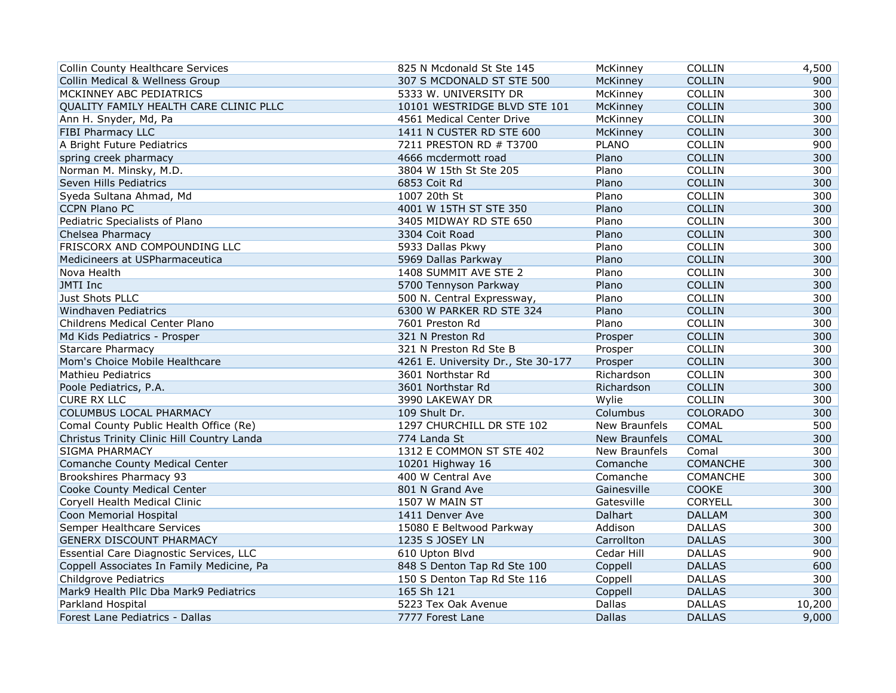| <b>Collin County Healthcare Services</b>   | 825 N Mcdonald St Ste 145          | McKinney      | COLLIN          | 4,500  |
|--------------------------------------------|------------------------------------|---------------|-----------------|--------|
| Collin Medical & Wellness Group            | 307 S MCDONALD ST STE 500          | McKinney      | <b>COLLIN</b>   | 900    |
| MCKINNEY ABC PEDIATRICS                    | 5333 W. UNIVERSITY DR              | McKinney      | <b>COLLIN</b>   | 300    |
| QUALITY FAMILY HEALTH CARE CLINIC PLLC     | 10101 WESTRIDGE BLVD STE 101       | McKinney      | <b>COLLIN</b>   | 300    |
| Ann H. Snyder, Md, Pa                      | 4561 Medical Center Drive          | McKinney      | COLLIN          | 300    |
| FIBI Pharmacy LLC                          | 1411 N CUSTER RD STE 600           | McKinney      | <b>COLLIN</b>   | 300    |
| A Bright Future Pediatrics                 | 7211 PRESTON RD # T3700            | <b>PLANO</b>  | COLLIN          | 900    |
| spring creek pharmacy                      | 4666 mcdermott road                | Plano         | <b>COLLIN</b>   | 300    |
| Norman M. Minsky, M.D.                     | 3804 W 15th St Ste 205             | Plano         | COLLIN          | 300    |
| Seven Hills Pediatrics                     | 6853 Coit Rd                       | Plano         | <b>COLLIN</b>   | 300    |
| Syeda Sultana Ahmad, Md                    | 1007 20th St                       | Plano         | <b>COLLIN</b>   | 300    |
| <b>CCPN Plano PC</b>                       | 4001 W 15TH ST STE 350             | Plano         | <b>COLLIN</b>   | 300    |
| Pediatric Specialists of Plano             | 3405 MIDWAY RD STE 650             | Plano         | <b>COLLIN</b>   | 300    |
| Chelsea Pharmacy                           | 3304 Coit Road                     | Plano         | <b>COLLIN</b>   | 300    |
| FRISCORX AND COMPOUNDING LLC               | 5933 Dallas Pkwy                   | Plano         | COLLIN          | 300    |
| Medicineers at USPharmaceutica             | 5969 Dallas Parkway                | Plano         | COLLIN          | 300    |
| Nova Health                                | 1408 SUMMIT AVE STE 2              | Plano         | <b>COLLIN</b>   | 300    |
| JMTI Inc                                   | 5700 Tennyson Parkway              | Plano         | <b>COLLIN</b>   | 300    |
| Just Shots PLLC                            | 500 N. Central Expressway,         | Plano         | <b>COLLIN</b>   | 300    |
| Windhaven Pediatrics                       | 6300 W PARKER RD STE 324           | Plano         | <b>COLLIN</b>   | 300    |
| Childrens Medical Center Plano             | 7601 Preston Rd                    | Plano         | COLLIN          | 300    |
| Md Kids Pediatrics - Prosper               | 321 N Preston Rd                   | Prosper       | COLLIN          | 300    |
| <b>Starcare Pharmacy</b>                   | 321 N Preston Rd Ste B             | Prosper       | <b>COLLIN</b>   | 300    |
| Mom's Choice Mobile Healthcare             | 4261 E. University Dr., Ste 30-177 | Prosper       | <b>COLLIN</b>   | 300    |
| <b>Mathieu Pediatrics</b>                  | 3601 Northstar Rd                  | Richardson    | COLLIN          | 300    |
| Poole Pediatrics, P.A.                     | 3601 Northstar Rd                  | Richardson    | <b>COLLIN</b>   | 300    |
| <b>CURE RX LLC</b>                         | 3990 LAKEWAY DR                    | Wylie         | COLLIN          | 300    |
| COLUMBUS LOCAL PHARMACY                    | 109 Shult Dr.                      | Columbus      | <b>COLORADO</b> | 300    |
| Comal County Public Health Office (Re)     | 1297 CHURCHILL DR STE 102          | New Braunfels | <b>COMAL</b>    | 500    |
| Christus Trinity Clinic Hill Country Landa | 774 Landa St                       | New Braunfels | <b>COMAL</b>    | 300    |
| SIGMA PHARMACY                             | 1312 E COMMON ST STE 402           | New Braunfels | Comal           | 300    |
| Comanche County Medical Center             | 10201 Highway 16                   | Comanche      | COMANCHE        | 300    |
| Brookshires Pharmacy 93                    | 400 W Central Ave                  | Comanche      | COMANCHE        | 300    |
| Cooke County Medical Center                | 801 N Grand Ave                    | Gainesville   | COOKE           | 300    |
| Coryell Health Medical Clinic              | 1507 W MAIN ST                     | Gatesville    | CORYELL         | 300    |
| Coon Memorial Hospital                     | 1411 Denver Ave                    | Dalhart       | <b>DALLAM</b>   | 300    |
| Semper Healthcare Services                 | 15080 E Beltwood Parkway           | Addison       | <b>DALLAS</b>   | 300    |
| <b>GENERX DISCOUNT PHARMACY</b>            | 1235 S JOSEY LN                    | Carrollton    | <b>DALLAS</b>   | 300    |
| Essential Care Diagnostic Services, LLC    | 610 Upton Blvd                     | Cedar Hill    | <b>DALLAS</b>   | 900    |
| Coppell Associates In Family Medicine, Pa  | 848 S Denton Tap Rd Ste 100        | Coppell       | <b>DALLAS</b>   | 600    |
| <b>Childgrove Pediatrics</b>               | 150 S Denton Tap Rd Ste 116        | Coppell       | <b>DALLAS</b>   | 300    |
| Mark9 Health Pllc Dba Mark9 Pediatrics     | 165 Sh 121                         | Coppell       | <b>DALLAS</b>   | 300    |
| Parkland Hospital                          | 5223 Tex Oak Avenue                | Dallas        | <b>DALLAS</b>   | 10,200 |
| Forest Lane Pediatrics - Dallas            | 7777 Forest Lane                   | <b>Dallas</b> | <b>DALLAS</b>   | 9,000  |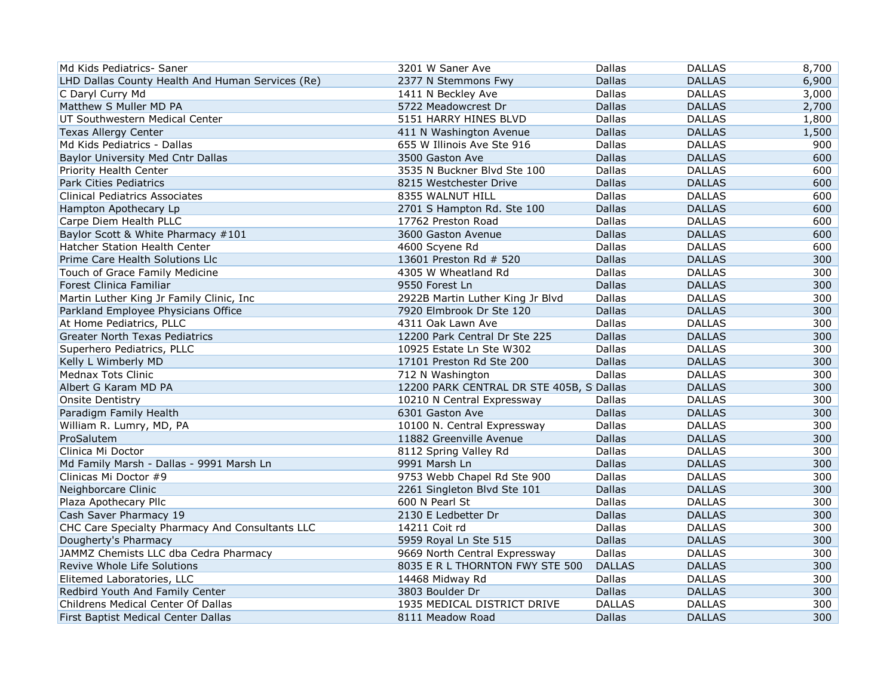| Md Kids Pediatrics- Saner                        | 3201 W Saner Ave                         | Dallas        | <b>DALLAS</b> | 8,700 |
|--------------------------------------------------|------------------------------------------|---------------|---------------|-------|
| LHD Dallas County Health And Human Services (Re) | 2377 N Stemmons Fwy                      | <b>Dallas</b> | <b>DALLAS</b> | 6,900 |
| C Daryl Curry Md                                 | 1411 N Beckley Ave                       | <b>Dallas</b> | <b>DALLAS</b> | 3,000 |
| Matthew S Muller MD PA                           | 5722 Meadowcrest Dr                      | <b>Dallas</b> | <b>DALLAS</b> | 2,700 |
| UT Southwestern Medical Center                   | 5151 HARRY HINES BLVD                    | Dallas        | <b>DALLAS</b> | 1,800 |
| <b>Texas Allergy Center</b>                      | 411 N Washington Avenue                  | <b>Dallas</b> | <b>DALLAS</b> | 1,500 |
| Md Kids Pediatrics - Dallas                      | 655 W Illinois Ave Ste 916               | Dallas        | <b>DALLAS</b> | 900   |
| Baylor University Med Cntr Dallas                | 3500 Gaston Ave                          | <b>Dallas</b> | <b>DALLAS</b> | 600   |
| Priority Health Center                           | 3535 N Buckner Blvd Ste 100              | Dallas        | <b>DALLAS</b> | 600   |
| <b>Park Cities Pediatrics</b>                    | 8215 Westchester Drive                   | <b>Dallas</b> | <b>DALLAS</b> | 600   |
| <b>Clinical Pediatrics Associates</b>            | 8355 WALNUT HILL                         | Dallas        | <b>DALLAS</b> | 600   |
| Hampton Apothecary Lp                            | 2701 S Hampton Rd. Ste 100               | <b>Dallas</b> | <b>DALLAS</b> | 600   |
| Carpe Diem Health PLLC                           | 17762 Preston Road                       | Dallas        | <b>DALLAS</b> | 600   |
| Baylor Scott & White Pharmacy #101               | 3600 Gaston Avenue                       | <b>Dallas</b> | <b>DALLAS</b> | 600   |
| <b>Hatcher Station Health Center</b>             | 4600 Scyene Rd                           | Dallas        | <b>DALLAS</b> | 600   |
| Prime Care Health Solutions Llc                  | 13601 Preston Rd # 520                   | <b>Dallas</b> | <b>DALLAS</b> | 300   |
| Touch of Grace Family Medicine                   | 4305 W Wheatland Rd                      | Dallas        | <b>DALLAS</b> | 300   |
| Forest Clinica Familiar                          | 9550 Forest Ln                           | <b>Dallas</b> | <b>DALLAS</b> | 300   |
| Martin Luther King Jr Family Clinic, Inc         | 2922B Martin Luther King Jr Blvd         | Dallas        | <b>DALLAS</b> | 300   |
| Parkland Employee Physicians Office              | 7920 Elmbrook Dr Ste 120                 | <b>Dallas</b> | <b>DALLAS</b> | 300   |
| At Home Pediatrics, PLLC                         | 4311 Oak Lawn Ave                        | Dallas        | <b>DALLAS</b> | 300   |
| <b>Greater North Texas Pediatrics</b>            | 12200 Park Central Dr Ste 225            | <b>Dallas</b> | <b>DALLAS</b> | 300   |
| Superhero Pediatrics, PLLC                       | 10925 Estate Ln Ste W302                 | Dallas        | <b>DALLAS</b> | 300   |
| Kelly L Wimberly MD                              | 17101 Preston Rd Ste 200                 | <b>Dallas</b> | <b>DALLAS</b> | 300   |
| <b>Mednax Tots Clinic</b>                        | 712 N Washington                         | Dallas        | <b>DALLAS</b> | 300   |
| Albert G Karam MD PA                             | 12200 PARK CENTRAL DR STE 405B, S Dallas |               | <b>DALLAS</b> | 300   |
| <b>Onsite Dentistry</b>                          | 10210 N Central Expressway               | Dallas        | <b>DALLAS</b> | 300   |
| Paradigm Family Health                           | 6301 Gaston Ave                          | <b>Dallas</b> | <b>DALLAS</b> | 300   |
| William R. Lumry, MD, PA                         | 10100 N. Central Expressway              | Dallas        | <b>DALLAS</b> | 300   |
| ProSalutem                                       | 11882 Greenville Avenue                  | <b>Dallas</b> | <b>DALLAS</b> | 300   |
| Clinica Mi Doctor                                | 8112 Spring Valley Rd                    | <b>Dallas</b> | <b>DALLAS</b> | 300   |
| Md Family Marsh - Dallas - 9991 Marsh Ln         | 9991 Marsh Ln                            | <b>Dallas</b> | <b>DALLAS</b> | 300   |
| Clinicas Mi Doctor #9                            | 9753 Webb Chapel Rd Ste 900              | Dallas        | <b>DALLAS</b> | 300   |
| Neighborcare Clinic                              | 2261 Singleton Blvd Ste 101              | <b>Dallas</b> | <b>DALLAS</b> | 300   |
| Plaza Apothecary Pllc                            | 600 N Pearl St                           | Dallas        | <b>DALLAS</b> | 300   |
| Cash Saver Pharmacy 19                           | 2130 E Ledbetter Dr                      | <b>Dallas</b> | <b>DALLAS</b> | 300   |
| CHC Care Specialty Pharmacy And Consultants LLC  | 14211 Coit rd                            | <b>Dallas</b> | <b>DALLAS</b> | 300   |
| Dougherty's Pharmacy                             | 5959 Royal Ln Ste 515                    | Dallas        | <b>DALLAS</b> | 300   |
| JAMMZ Chemists LLC dba Cedra Pharmacy            | 9669 North Central Expressway            | Dallas        | <b>DALLAS</b> | 300   |
| Revive Whole Life Solutions                      | 8035 E R L THORNTON FWY STE 500          | <b>DALLAS</b> | <b>DALLAS</b> | 300   |
| Elitemed Laboratories, LLC                       | 14468 Midway Rd                          | Dallas        | <b>DALLAS</b> | 300   |
| Redbird Youth And Family Center                  | 3803 Boulder Dr                          | <b>Dallas</b> | <b>DALLAS</b> | 300   |
| Childrens Medical Center Of Dallas               | 1935 MEDICAL DISTRICT DRIVE              | <b>DALLAS</b> | <b>DALLAS</b> | 300   |
| First Baptist Medical Center Dallas              | 8111 Meadow Road                         | <b>Dallas</b> | <b>DALLAS</b> | 300   |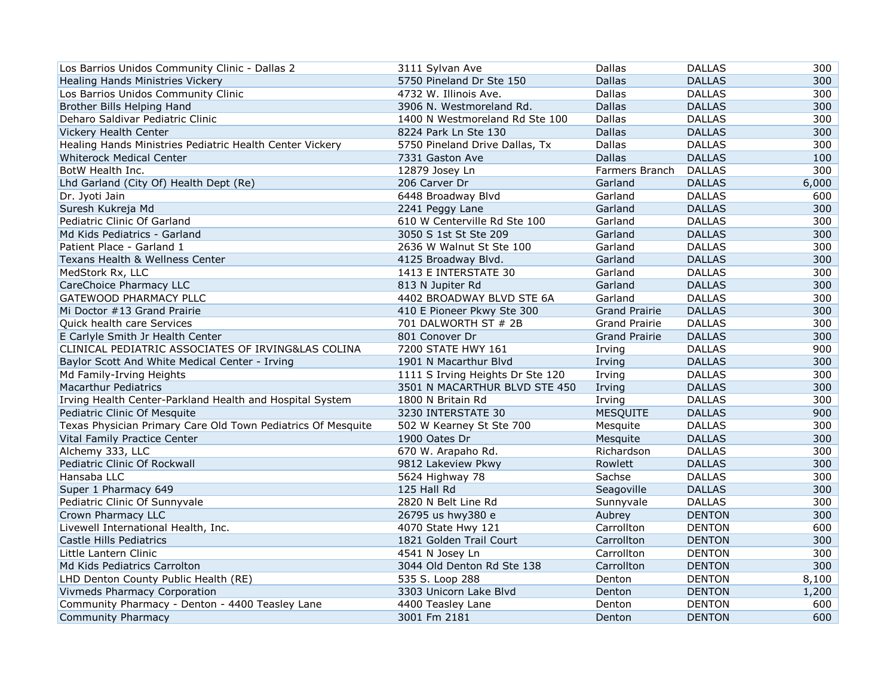| Los Barrios Unidos Community Clinic - Dallas 2               | 3111 Sylvan Ave                  | Dallas               | <b>DALLAS</b> | 300   |
|--------------------------------------------------------------|----------------------------------|----------------------|---------------|-------|
| Healing Hands Ministries Vickery                             | 5750 Pineland Dr Ste 150         | <b>Dallas</b>        | <b>DALLAS</b> | 300   |
| Los Barrios Unidos Community Clinic                          | 4732 W. Illinois Ave.            | <b>Dallas</b>        | <b>DALLAS</b> | 300   |
| Brother Bills Helping Hand                                   | 3906 N. Westmoreland Rd.         | <b>Dallas</b>        | <b>DALLAS</b> | 300   |
| Deharo Saldivar Pediatric Clinic                             | 1400 N Westmoreland Rd Ste 100   | <b>Dallas</b>        | <b>DALLAS</b> | 300   |
| Vickery Health Center                                        | 8224 Park Ln Ste 130             | <b>Dallas</b>        | <b>DALLAS</b> | 300   |
| Healing Hands Ministries Pediatric Health Center Vickery     | 5750 Pineland Drive Dallas, Tx   | Dallas               | <b>DALLAS</b> | 300   |
| Whiterock Medical Center                                     | 7331 Gaston Ave                  | <b>Dallas</b>        | <b>DALLAS</b> | 100   |
| BotW Health Inc.                                             | 12879 Josey Ln                   | Farmers Branch       | <b>DALLAS</b> | 300   |
| Lhd Garland (City Of) Health Dept (Re)                       | 206 Carver Dr                    | Garland              | <b>DALLAS</b> | 6,000 |
| Dr. Jyoti Jain                                               | 6448 Broadway Blvd               | Garland              | <b>DALLAS</b> | 600   |
| Suresh Kukreja Md                                            | 2241 Peggy Lane                  | Garland              | <b>DALLAS</b> | 300   |
| Pediatric Clinic Of Garland                                  | 610 W Centerville Rd Ste 100     | Garland              | <b>DALLAS</b> | 300   |
| Md Kids Pediatrics - Garland                                 | 3050 S 1st St Ste 209            | Garland              | <b>DALLAS</b> | 300   |
| Patient Place - Garland 1                                    | 2636 W Walnut St Ste 100         | Garland              | <b>DALLAS</b> | 300   |
| Texans Health & Wellness Center                              | 4125 Broadway Blvd.              | Garland              | <b>DALLAS</b> | 300   |
| MedStork Rx, LLC                                             | 1413 E INTERSTATE 30             | Garland              | <b>DALLAS</b> | 300   |
| CareChoice Pharmacy LLC                                      | 813 N Jupiter Rd                 | Garland              | <b>DALLAS</b> | 300   |
| GATEWOOD PHARMACY PLLC                                       | 4402 BROADWAY BLVD STE 6A        | Garland              | <b>DALLAS</b> | 300   |
| Mi Doctor #13 Grand Prairie                                  | 410 E Pioneer Pkwy Ste 300       | <b>Grand Prairie</b> | <b>DALLAS</b> | 300   |
| Quick health care Services                                   | 701 DALWORTH ST # 2B             | <b>Grand Prairie</b> | <b>DALLAS</b> | 300   |
| E Carlyle Smith Jr Health Center                             | 801 Conover Dr                   | <b>Grand Prairie</b> | <b>DALLAS</b> | 300   |
| CLINICAL PEDIATRIC ASSOCIATES OF IRVING&LAS COLINA           | 7200 STATE HWY 161               | Irving               | <b>DALLAS</b> | 900   |
| Baylor Scott And White Medical Center - Irving               | 1901 N Macarthur Blvd            | Irving               | <b>DALLAS</b> | 300   |
| Md Family-Irving Heights                                     | 1111 S Irving Heights Dr Ste 120 | Irving               | <b>DALLAS</b> | 300   |
| <b>Macarthur Pediatrics</b>                                  | 3501 N MACARTHUR BLVD STE 450    | Irving               | <b>DALLAS</b> | 300   |
| Irving Health Center-Parkland Health and Hospital System     | 1800 N Britain Rd                | Irving               | <b>DALLAS</b> | 300   |
| Pediatric Clinic Of Mesquite                                 | 3230 INTERSTATE 30               | <b>MESQUITE</b>      | <b>DALLAS</b> | 900   |
| Texas Physician Primary Care Old Town Pediatrics Of Mesquite | 502 W Kearney St Ste 700         | Mesquite             | <b>DALLAS</b> | 300   |
| Vital Family Practice Center                                 | 1900 Oates Dr                    | Mesquite             | <b>DALLAS</b> | 300   |
| Alchemy 333, LLC                                             | 670 W. Arapaho Rd.               | Richardson           | <b>DALLAS</b> | 300   |
| Pediatric Clinic Of Rockwall                                 | 9812 Lakeview Pkwy               | Rowlett              | <b>DALLAS</b> | 300   |
| Hansaba LLC                                                  | 5624 Highway 78                  | Sachse               | <b>DALLAS</b> | 300   |
| Super 1 Pharmacy 649                                         | 125 Hall Rd                      | Seagoville           | <b>DALLAS</b> | 300   |
| Pediatric Clinic Of Sunnyvale                                | 2820 N Belt Line Rd              | Sunnyvale            | <b>DALLAS</b> | 300   |
| Crown Pharmacy LLC                                           | 26795 us hwy380 e                | Aubrey               | <b>DENTON</b> | 300   |
| Livewell International Health, Inc.                          | 4070 State Hwy 121               | Carrollton           | <b>DENTON</b> | 600   |
| Castle Hills Pediatrics                                      | 1821 Golden Trail Court          | Carrollton           | <b>DENTON</b> | 300   |
| Little Lantern Clinic                                        | 4541 N Josey Ln                  | Carrollton           | <b>DENTON</b> | 300   |
| Md Kids Pediatrics Carrolton                                 | 3044 Old Denton Rd Ste 138       | Carrollton           | <b>DENTON</b> | 300   |
| LHD Denton County Public Health (RE)                         | 535 S. Loop 288                  | Denton               | <b>DENTON</b> | 8,100 |
| Vivmeds Pharmacy Corporation                                 | 3303 Unicorn Lake Blvd           | Denton               | <b>DENTON</b> | 1,200 |
| Community Pharmacy - Denton - 4400 Teasley Lane              | 4400 Teasley Lane                | Denton               | <b>DENTON</b> | 600   |
| <b>Community Pharmacy</b>                                    | 3001 Fm 2181                     | Denton               | <b>DENTON</b> | 600   |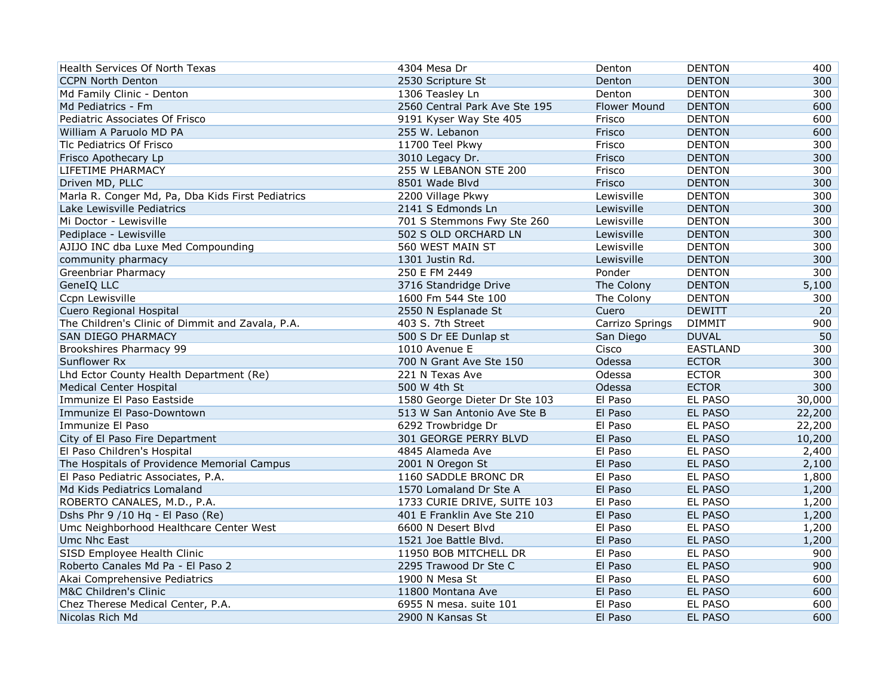| Health Services Of North Texas                    | 4304 Mesa Dr                  | Denton          | <b>DENTON</b>   | 400    |
|---------------------------------------------------|-------------------------------|-----------------|-----------------|--------|
| <b>CCPN North Denton</b>                          | 2530 Scripture St             | Denton          | <b>DENTON</b>   | 300    |
| Md Family Clinic - Denton                         | 1306 Teasley Ln               | Denton          | <b>DENTON</b>   | 300    |
| Md Pediatrics - Fm                                | 2560 Central Park Ave Ste 195 | Flower Mound    | <b>DENTON</b>   | 600    |
| Pediatric Associates Of Frisco                    | 9191 Kyser Way Ste 405        | Frisco          | <b>DENTON</b>   | 600    |
| William A Paruolo MD PA                           | 255 W. Lebanon                | Frisco          | <b>DENTON</b>   | 600    |
| Tlc Pediatrics Of Frisco                          | 11700 Teel Pkwy               | Frisco          | <b>DENTON</b>   | 300    |
| Frisco Apothecary Lp                              | 3010 Legacy Dr.               | Frisco          | <b>DENTON</b>   | 300    |
| LIFETIME PHARMACY                                 | 255 W LEBANON STE 200         | Frisco          | <b>DENTON</b>   | 300    |
| Driven MD, PLLC                                   | 8501 Wade Blvd                | Frisco          | <b>DENTON</b>   | 300    |
| Marla R. Conger Md, Pa, Dba Kids First Pediatrics | 2200 Village Pkwy             | Lewisville      | <b>DENTON</b>   | 300    |
| Lake Lewisville Pediatrics                        | 2141 S Edmonds Ln             | Lewisville      | <b>DENTON</b>   | 300    |
| Mi Doctor - Lewisville                            | 701 S Stemmons Fwy Ste 260    | Lewisville      | <b>DENTON</b>   | 300    |
| Pediplace - Lewisville                            | 502 S OLD ORCHARD LN          | Lewisville      | <b>DENTON</b>   | 300    |
| AJIJO INC dba Luxe Med Compounding                | 560 WEST MAIN ST              | Lewisville      | <b>DENTON</b>   | 300    |
| community pharmacy                                | 1301 Justin Rd.               | Lewisville      | <b>DENTON</b>   | 300    |
| <b>Greenbriar Pharmacy</b>                        | 250 E FM 2449                 | Ponder          | <b>DENTON</b>   | 300    |
| GeneIQ LLC                                        | 3716 Standridge Drive         | The Colony      | <b>DENTON</b>   | 5,100  |
| Ccpn Lewisville                                   | 1600 Fm 544 Ste 100           | The Colony      | <b>DENTON</b>   | 300    |
| Cuero Regional Hospital                           | 2550 N Esplanade St           | Cuero           | <b>DEWITT</b>   | 20     |
| The Children's Clinic of Dimmit and Zavala, P.A.  | 403 S. 7th Street             | Carrizo Springs | <b>DIMMIT</b>   | 900    |
| <b>SAN DIEGO PHARMACY</b>                         | 500 S Dr EE Dunlap st         | San Diego       | <b>DUVAL</b>    | 50     |
| Brookshires Pharmacy 99                           | 1010 Avenue E                 | Cisco           | <b>EASTLAND</b> | 300    |
| Sunflower Rx                                      | 700 N Grant Ave Ste 150       | Odessa          | <b>ECTOR</b>    | 300    |
| Lhd Ector County Health Department (Re)           | 221 N Texas Ave               | Odessa          | <b>ECTOR</b>    | 300    |
| <b>Medical Center Hospital</b>                    | 500 W 4th St                  | Odessa          | <b>ECTOR</b>    | 300    |
| Immunize El Paso Eastside                         | 1580 George Dieter Dr Ste 103 | El Paso         | EL PASO         | 30,000 |
| Immunize El Paso-Downtown                         | 513 W San Antonio Ave Ste B   | El Paso         | <b>EL PASO</b>  | 22,200 |
| Immunize El Paso                                  | 6292 Trowbridge Dr            | El Paso         | EL PASO         | 22,200 |
| City of El Paso Fire Department                   | 301 GEORGE PERRY BLVD         | El Paso         | EL PASO         | 10,200 |
| El Paso Children's Hospital                       | 4845 Alameda Ave              | El Paso         | EL PASO         | 2,400  |
| The Hospitals of Providence Memorial Campus       | 2001 N Oregon St              | El Paso         | <b>EL PASO</b>  | 2,100  |
| El Paso Pediatric Associates, P.A.                | 1160 SADDLE BRONC DR          | El Paso         | EL PASO         | 1,800  |
| Md Kids Pediatrics Lomaland                       | 1570 Lomaland Dr Ste A        | El Paso         | EL PASO         | 1,200  |
| ROBERTO CANALES, M.D., P.A.                       | 1733 CURIE DRIVE, SUITE 103   | El Paso         | <b>EL PASO</b>  | 1,200  |
| Dshs Phr 9 /10 Hq - El Paso (Re)                  | 401 E Franklin Ave Ste 210    | El Paso         | EL PASO         | 1,200  |
| Umc Neighborhood Healthcare Center West           | 6600 N Desert Blvd            | El Paso         | EL PASO         | 1,200  |
| <b>Umc Nhc East</b>                               | 1521 Joe Battle Blvd.         | El Paso         | <b>EL PASO</b>  | 1,200  |
| SISD Employee Health Clinic                       | 11950 BOB MITCHELL DR         | El Paso         | EL PASO         | 900    |
| Roberto Canales Md Pa - El Paso 2                 | 2295 Trawood Dr Ste C         | El Paso         | EL PASO         | 900    |
| Akai Comprehensive Pediatrics                     | 1900 N Mesa St                | El Paso         | EL PASO         | 600    |
| M&C Children's Clinic                             | 11800 Montana Ave             | El Paso         | <b>EL PASO</b>  | 600    |
| Chez Therese Medical Center, P.A.                 | 6955 N mesa. suite 101        | El Paso         | <b>EL PASO</b>  | 600    |
| Nicolas Rich Md                                   | 2900 N Kansas St              | El Paso         | <b>EL PASO</b>  | 600    |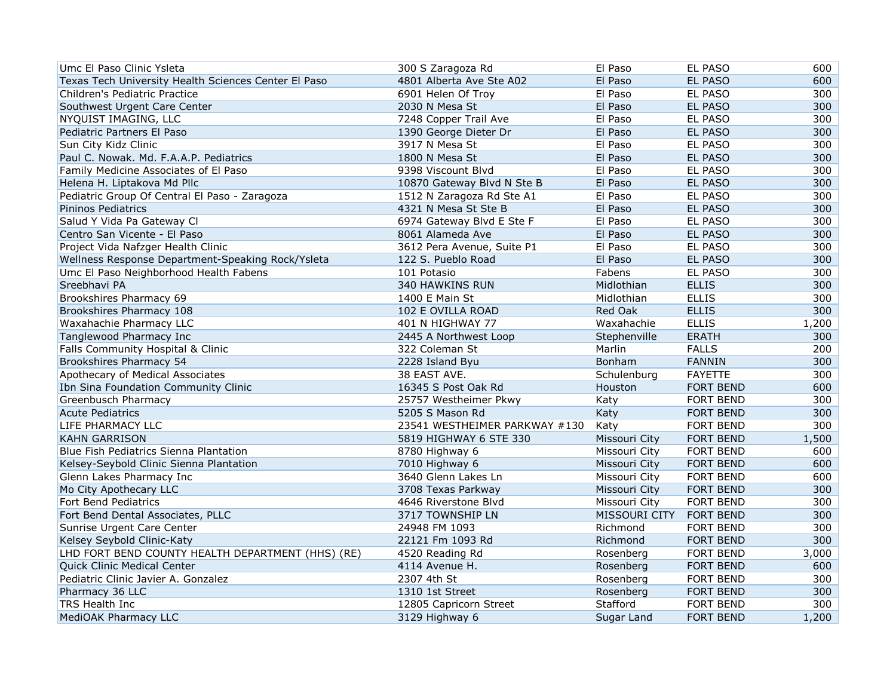| Umc El Paso Clinic Ysleta                            | 300 S Zaragoza Rd             | El Paso       | <b>EL PASO</b>   | 600   |
|------------------------------------------------------|-------------------------------|---------------|------------------|-------|
| Texas Tech University Health Sciences Center El Paso | 4801 Alberta Ave Ste A02      | El Paso       | <b>EL PASO</b>   | 600   |
| Children's Pediatric Practice                        | 6901 Helen Of Troy            | El Paso       | EL PASO          | 300   |
| Southwest Urgent Care Center                         | 2030 N Mesa St                | El Paso       | <b>EL PASO</b>   | 300   |
| NYQUIST IMAGING, LLC                                 | 7248 Copper Trail Ave         | El Paso       | <b>EL PASO</b>   | 300   |
| Pediatric Partners El Paso                           | 1390 George Dieter Dr         | El Paso       | <b>EL PASO</b>   | 300   |
| Sun City Kidz Clinic                                 | 3917 N Mesa St                | El Paso       | EL PASO          | 300   |
| Paul C. Nowak. Md. F.A.A.P. Pediatrics               | 1800 N Mesa St                | El Paso       | <b>EL PASO</b>   | 300   |
| Family Medicine Associates of El Paso                | 9398 Viscount Blvd            | El Paso       | <b>EL PASO</b>   | 300   |
| Helena H. Liptakova Md Pllc                          | 10870 Gateway Blvd N Ste B    | El Paso       | <b>EL PASO</b>   | 300   |
| Pediatric Group Of Central El Paso - Zaragoza        | 1512 N Zaragoza Rd Ste A1     | El Paso       | <b>EL PASO</b>   | 300   |
| Pininos Pediatrics                                   | 4321 N Mesa St Ste B          | El Paso       | <b>EL PASO</b>   | 300   |
| Salud Y Vida Pa Gateway Cl                           | 6974 Gateway Blvd E Ste F     | El Paso       | EL PASO          | 300   |
| Centro San Vicente - El Paso                         | 8061 Alameda Ave              | El Paso       | EL PASO          | 300   |
| Project Vida Nafzger Health Clinic                   | 3612 Pera Avenue, Suite P1    | El Paso       | <b>EL PASO</b>   | 300   |
| Wellness Response Department-Speaking Rock/Ysleta    | 122 S. Pueblo Road            | El Paso       | <b>EL PASO</b>   | 300   |
| Umc El Paso Neighborhood Health Fabens               | 101 Potasio                   | Fabens        | EL PASO          | 300   |
| Sreebhavi PA                                         | 340 HAWKINS RUN               | Midlothian    | <b>ELLIS</b>     | 300   |
| Brookshires Pharmacy 69                              | 1400 E Main St                | Midlothian    | <b>ELLIS</b>     | 300   |
| Brookshires Pharmacy 108                             | 102 E OVILLA ROAD             | Red Oak       | <b>ELLIS</b>     | 300   |
| Waxahachie Pharmacy LLC                              | 401 N HIGHWAY 77              | Waxahachie    | <b>ELLIS</b>     | 1,200 |
| Tanglewood Pharmacy Inc                              | 2445 A Northwest Loop         | Stephenville  | <b>ERATH</b>     | 300   |
| Falls Community Hospital & Clinic                    | 322 Coleman St                | Marlin        | <b>FALLS</b>     | 200   |
| Brookshires Pharmacy 54                              | 2228 Island Byu               | Bonham        | <b>FANNIN</b>    | 300   |
| Apothecary of Medical Associates                     | 38 EAST AVE.                  | Schulenburg   | <b>FAYETTE</b>   | 300   |
| Ibn Sina Foundation Community Clinic                 | 16345 S Post Oak Rd           | Houston       | <b>FORT BEND</b> | 600   |
| Greenbusch Pharmacy                                  | 25757 Westheimer Pkwy         | Katy          | <b>FORT BEND</b> | 300   |
| <b>Acute Pediatrics</b>                              | 5205 S Mason Rd               | Katy          | <b>FORT BEND</b> | 300   |
| LIFE PHARMACY LLC                                    | 23541 WESTHEIMER PARKWAY #130 | Katy          | <b>FORT BEND</b> | 300   |
| <b>KAHN GARRISON</b>                                 | 5819 HIGHWAY 6 STE 330        | Missouri City | <b>FORT BEND</b> | 1,500 |
| <b>Blue Fish Pediatrics Sienna Plantation</b>        | 8780 Highway 6                | Missouri City | FORT BEND        | 600   |
| Kelsey-Seybold Clinic Sienna Plantation              | 7010 Highway 6                | Missouri City | <b>FORT BEND</b> | 600   |
| Glenn Lakes Pharmacy Inc                             | 3640 Glenn Lakes Ln           | Missouri City | <b>FORT BEND</b> | 600   |
| Mo City Apothecary LLC                               | 3708 Texas Parkway            | Missouri City | <b>FORT BEND</b> | 300   |
| Fort Bend Pediatrics                                 | 4646 Riverstone Blvd          | Missouri City | <b>FORT BEND</b> | 300   |
| Fort Bend Dental Associates, PLLC                    | 3717 TOWNSHIP LN              | MISSOURI CITY | <b>FORT BEND</b> | 300   |
| Sunrise Urgent Care Center                           | 24948 FM 1093                 | Richmond      | <b>FORT BEND</b> | 300   |
| Kelsey Seybold Clinic-Katy                           | 22121 Fm 1093 Rd              | Richmond      | <b>FORT BEND</b> | 300   |
| LHD FORT BEND COUNTY HEALTH DEPARTMENT (HHS) (RE)    | 4520 Reading Rd               | Rosenberg     | FORT BEND        | 3,000 |
| Quick Clinic Medical Center                          | 4114 Avenue H.                | Rosenberg     | <b>FORT BEND</b> | 600   |
| Pediatric Clinic Javier A. Gonzalez                  | 2307 4th St                   | Rosenberg     | FORT BEND        | 300   |
| Pharmacy 36 LLC                                      | 1310 1st Street               | Rosenberg     | <b>FORT BEND</b> | 300   |
| <b>TRS Health Inc</b>                                | 12805 Capricorn Street        | Stafford      | <b>FORT BEND</b> | 300   |
| <b>MediOAK Pharmacy LLC</b>                          | 3129 Highway 6                | Sugar Land    | <b>FORT BEND</b> | 1,200 |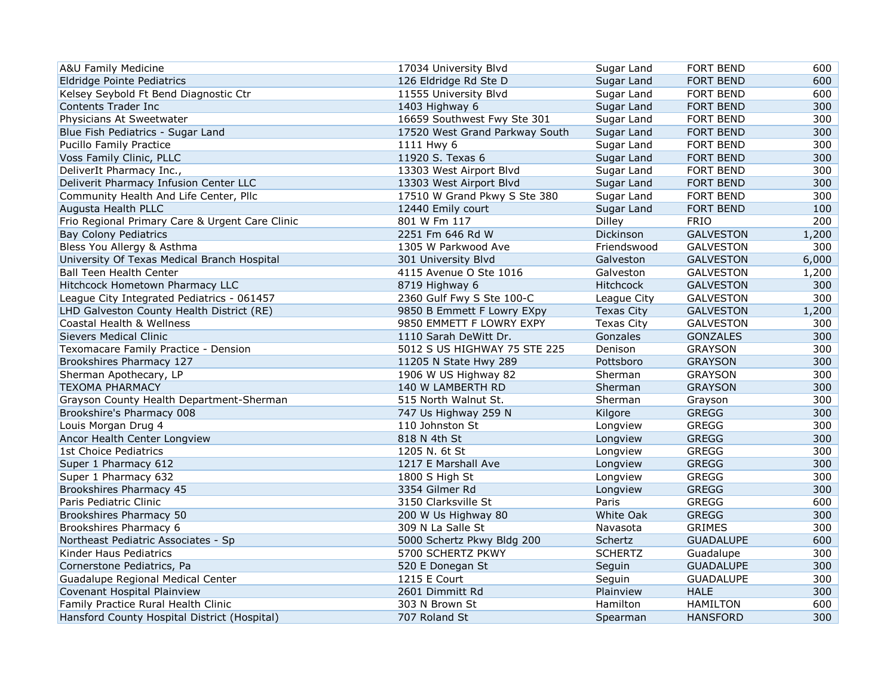| A&U Family Medicine                             | 17034 University Blvd          | Sugar Land        | FORT BEND        | 600   |
|-------------------------------------------------|--------------------------------|-------------------|------------------|-------|
| Eldridge Pointe Pediatrics                      | 126 Eldridge Rd Ste D          | Sugar Land        | <b>FORT BEND</b> | 600   |
| Kelsey Seybold Ft Bend Diagnostic Ctr           | 11555 University Blvd          | Sugar Land        | <b>FORT BEND</b> | 600   |
| Contents Trader Inc                             | 1403 Highway 6                 | Sugar Land        | FORT BEND        | 300   |
| Physicians At Sweetwater                        | 16659 Southwest Fwy Ste 301    | Sugar Land        | <b>FORT BEND</b> | 300   |
| Blue Fish Pediatrics - Sugar Land               | 17520 West Grand Parkway South | Sugar Land        | <b>FORT BEND</b> | 300   |
| Pucillo Family Practice                         | 1111 Hwy 6                     | Sugar Land        | <b>FORT BEND</b> | 300   |
| Voss Family Clinic, PLLC                        | 11920 S. Texas 6               | Sugar Land        | FORT BEND        | 300   |
| DeliverIt Pharmacy Inc.,                        | 13303 West Airport Blvd        | Sugar Land        | <b>FORT BEND</b> | 300   |
| Deliverit Pharmacy Infusion Center LLC          | 13303 West Airport Blvd        | Sugar Land        | <b>FORT BEND</b> | 300   |
| Community Health And Life Center, Pllc          | 17510 W Grand Pkwy S Ste 380   | Sugar Land        | FORT BEND        | 300   |
| Augusta Health PLLC                             | 12440 Emily court              | Sugar Land        | FORT BEND        | 100   |
| Frio Regional Primary Care & Urgent Care Clinic | 801 W Fm 117                   | Dilley            | <b>FRIO</b>      | 200   |
| <b>Bay Colony Pediatrics</b>                    | 2251 Fm 646 Rd W               | Dickinson         | <b>GALVESTON</b> | 1,200 |
| Bless You Allergy & Asthma                      | 1305 W Parkwood Ave            | Friendswood       | <b>GALVESTON</b> | 300   |
| University Of Texas Medical Branch Hospital     | 301 University Blvd            | Galveston         | <b>GALVESTON</b> | 6,000 |
| <b>Ball Teen Health Center</b>                  | 4115 Avenue O Ste 1016         | Galveston         | <b>GALVESTON</b> | 1,200 |
| Hitchcock Hometown Pharmacy LLC                 | 8719 Highway 6                 | Hitchcock         | <b>GALVESTON</b> | 300   |
| League City Integrated Pediatrics - 061457      | 2360 Gulf Fwy S Ste 100-C      | League City       | <b>GALVESTON</b> | 300   |
| LHD Galveston County Health District (RE)       | 9850 B Emmett F Lowry EXpy     | <b>Texas City</b> | <b>GALVESTON</b> | 1,200 |
| Coastal Health & Wellness                       | 9850 EMMETT F LOWRY EXPY       | <b>Texas City</b> | <b>GALVESTON</b> | 300   |
| <b>Sievers Medical Clinic</b>                   | 1110 Sarah DeWitt Dr.          | Gonzales          | <b>GONZALES</b>  | 300   |
| Texomacare Family Practice - Dension            | 5012 S US HIGHWAY 75 STE 225   | Denison           | <b>GRAYSON</b>   | 300   |
| Brookshires Pharmacy 127                        | 11205 N State Hwy 289          | Pottsboro         | <b>GRAYSON</b>   | 300   |
| Sherman Apothecary, LP                          | 1906 W US Highway 82           | Sherman           | <b>GRAYSON</b>   | 300   |
| <b>TEXOMA PHARMACY</b>                          | 140 W LAMBERTH RD              | Sherman           | <b>GRAYSON</b>   | 300   |
| Grayson County Health Department-Sherman        | 515 North Walnut St.           | Sherman           | Grayson          | 300   |
| Brookshire's Pharmacy 008                       | 747 Us Highway 259 N           | Kilgore           | <b>GREGG</b>     | 300   |
| Louis Morgan Drug 4                             | 110 Johnston St                | Longview          | <b>GREGG</b>     | 300   |
| Ancor Health Center Longview                    | 818 N 4th St                   | Longview          | <b>GREGG</b>     | 300   |
| 1st Choice Pediatrics                           | 1205 N. 6t St                  | Longview          | <b>GREGG</b>     | 300   |
| Super 1 Pharmacy 612                            | 1217 E Marshall Ave            | Longview          | <b>GREGG</b>     | 300   |
| Super 1 Pharmacy 632                            | 1800 S High St                 | Longview          | <b>GREGG</b>     | 300   |
| Brookshires Pharmacy 45                         | 3354 Gilmer Rd                 | Longview          | <b>GREGG</b>     | 300   |
| Paris Pediatric Clinic                          | 3150 Clarksville St            | Paris             | <b>GREGG</b>     | 600   |
| Brookshires Pharmacy 50                         | 200 W Us Highway 80            | <b>White Oak</b>  | <b>GREGG</b>     | 300   |
| Brookshires Pharmacy 6                          | 309 N La Salle St              | Navasota          | <b>GRIMES</b>    | 300   |
| Northeast Pediatric Associates - Sp             | 5000 Schertz Pkwy Bldg 200     | Schertz           | <b>GUADALUPE</b> | 600   |
| Kinder Haus Pediatrics                          | 5700 SCHERTZ PKWY              | <b>SCHERTZ</b>    | Guadalupe        | 300   |
| Cornerstone Pediatrics, Pa                      | 520 E Donegan St               | Seguin            | <b>GUADALUPE</b> | 300   |
| Guadalupe Regional Medical Center               | 1215 E Court                   | Seguin            | <b>GUADALUPE</b> | 300   |
| Covenant Hospital Plainview                     | 2601 Dimmitt Rd                | Plainview         | <b>HALE</b>      | 300   |
| Family Practice Rural Health Clinic             | 303 N Brown St                 | Hamilton          | <b>HAMILTON</b>  | 600   |
| Hansford County Hospital District (Hospital)    | 707 Roland St                  | Spearman          | <b>HANSFORD</b>  | 300   |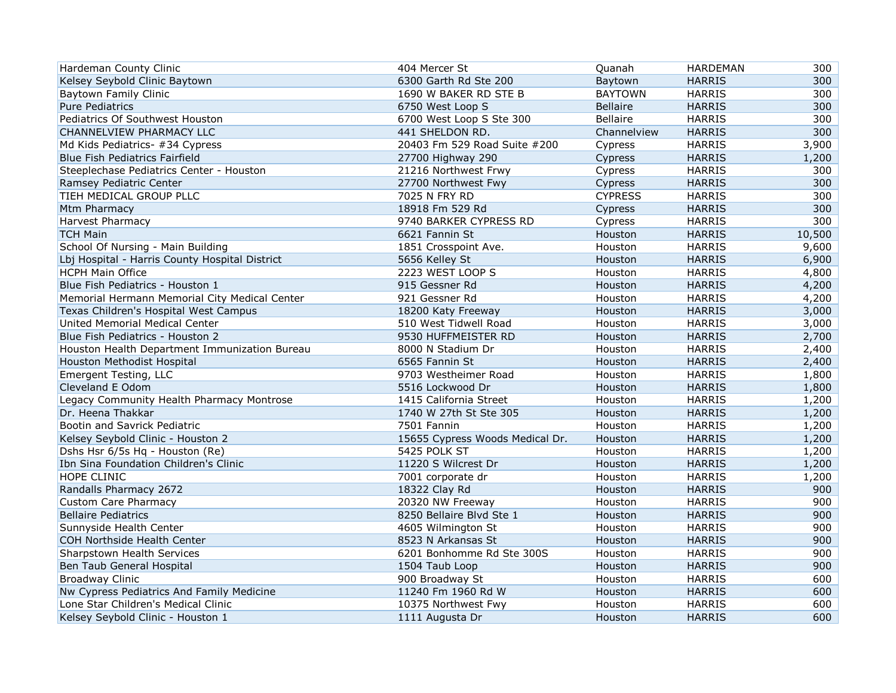| Hardeman County Clinic                         | 404 Mercer St                   | Quanah          | <b>HARDEMAN</b> | 300    |
|------------------------------------------------|---------------------------------|-----------------|-----------------|--------|
| Kelsey Seybold Clinic Baytown                  | 6300 Garth Rd Ste 200           | Baytown         | <b>HARRIS</b>   | 300    |
| <b>Baytown Family Clinic</b>                   | 1690 W BAKER RD STE B           | <b>BAYTOWN</b>  | <b>HARRIS</b>   | 300    |
| <b>Pure Pediatrics</b>                         | 6750 West Loop S                | <b>Bellaire</b> | <b>HARRIS</b>   | 300    |
| Pediatrics Of Southwest Houston                | 6700 West Loop S Ste 300        | <b>Bellaire</b> | <b>HARRIS</b>   | 300    |
| CHANNELVIEW PHARMACY LLC                       | 441 SHELDON RD.                 | Channelview     | <b>HARRIS</b>   | 300    |
| Md Kids Pediatrics- #34 Cypress                | 20403 Fm 529 Road Suite #200    | Cypress         | <b>HARRIS</b>   | 3,900  |
| Blue Fish Pediatrics Fairfield                 | 27700 Highway 290               | Cypress         | <b>HARRIS</b>   | 1,200  |
| Steeplechase Pediatrics Center - Houston       | 21216 Northwest Frwy            | Cypress         | <b>HARRIS</b>   | 300    |
| Ramsey Pediatric Center                        | 27700 Northwest Fwy             | Cypress         | <b>HARRIS</b>   | 300    |
| TIEH MEDICAL GROUP PLLC                        | 7025 N FRY RD                   | <b>CYPRESS</b>  | <b>HARRIS</b>   | 300    |
| Mtm Pharmacy                                   | 18918 Fm 529 Rd                 | Cypress         | <b>HARRIS</b>   | 300    |
| <b>Harvest Pharmacy</b>                        | 9740 BARKER CYPRESS RD          | Cypress         | <b>HARRIS</b>   | 300    |
| <b>TCH Main</b>                                | 6621 Fannin St                  | Houston         | <b>HARRIS</b>   | 10,500 |
| School Of Nursing - Main Building              | 1851 Crosspoint Ave.            | Houston         | <b>HARRIS</b>   | 9,600  |
| Lbj Hospital - Harris County Hospital District | 5656 Kelley St                  | Houston         | <b>HARRIS</b>   | 6,900  |
| <b>HCPH Main Office</b>                        | 2223 WEST LOOP S                | Houston         | <b>HARRIS</b>   | 4,800  |
| Blue Fish Pediatrics - Houston 1               | 915 Gessner Rd                  | Houston         | <b>HARRIS</b>   | 4,200  |
| Memorial Hermann Memorial City Medical Center  | 921 Gessner Rd                  | Houston         | <b>HARRIS</b>   | 4,200  |
| Texas Children's Hospital West Campus          | 18200 Katy Freeway              | Houston         | <b>HARRIS</b>   | 3,000  |
| United Memorial Medical Center                 | 510 West Tidwell Road           | Houston         | <b>HARRIS</b>   | 3,000  |
| Blue Fish Pediatrics - Houston 2               | 9530 HUFFMEISTER RD             | Houston         | <b>HARRIS</b>   | 2,700  |
| Houston Health Department Immunization Bureau  | 8000 N Stadium Dr               | Houston         | <b>HARRIS</b>   | 2,400  |
| Houston Methodist Hospital                     | 6565 Fannin St                  | Houston         | <b>HARRIS</b>   | 2,400  |
| Emergent Testing, LLC                          | 9703 Westheimer Road            | Houston         | <b>HARRIS</b>   | 1,800  |
| Cleveland E Odom                               | 5516 Lockwood Dr                | Houston         | <b>HARRIS</b>   | 1,800  |
| Legacy Community Health Pharmacy Montrose      | 1415 California Street          | Houston         | <b>HARRIS</b>   | 1,200  |
| Dr. Heena Thakkar                              | 1740 W 27th St Ste 305          | Houston         | <b>HARRIS</b>   | 1,200  |
| Bootin and Savrick Pediatric                   | 7501 Fannin                     | Houston         | <b>HARRIS</b>   | 1,200  |
| Kelsey Seybold Clinic - Houston 2              | 15655 Cypress Woods Medical Dr. | Houston         | <b>HARRIS</b>   | 1,200  |
| Dshs Hsr 6/5s Hq - Houston (Re)                | 5425 POLK ST                    | Houston         | <b>HARRIS</b>   | 1,200  |
| Ibn Sina Foundation Children's Clinic          | 11220 S Wilcrest Dr             | Houston         | <b>HARRIS</b>   | 1,200  |
| HOPE CLINIC                                    | 7001 corporate dr               | Houston         | <b>HARRIS</b>   | 1,200  |
| Randalls Pharmacy 2672                         | 18322 Clay Rd                   | Houston         | <b>HARRIS</b>   | 900    |
| <b>Custom Care Pharmacy</b>                    | 20320 NW Freeway                | Houston         | <b>HARRIS</b>   | 900    |
| <b>Bellaire Pediatrics</b>                     | 8250 Bellaire Blvd Ste 1        | Houston         | <b>HARRIS</b>   | 900    |
| Sunnyside Health Center                        | 4605 Wilmington St              | Houston         | <b>HARRIS</b>   | 900    |
| <b>COH Northside Health Center</b>             | 8523 N Arkansas St              | Houston         | <b>HARRIS</b>   | 900    |
| Sharpstown Health Services                     | 6201 Bonhomme Rd Ste 300S       | Houston         | <b>HARRIS</b>   | 900    |
| Ben Taub General Hospital                      | 1504 Taub Loop                  | Houston         | <b>HARRIS</b>   | 900    |
| <b>Broadway Clinic</b>                         | 900 Broadway St                 | Houston         | <b>HARRIS</b>   | 600    |
| Nw Cypress Pediatrics And Family Medicine      | 11240 Fm 1960 Rd W              | Houston         | <b>HARRIS</b>   | 600    |
| Lone Star Children's Medical Clinic            | 10375 Northwest Fwy             | Houston         | <b>HARRIS</b>   | 600    |
| Kelsey Seybold Clinic - Houston 1              | 1111 Augusta Dr                 | Houston         | <b>HARRIS</b>   | 600    |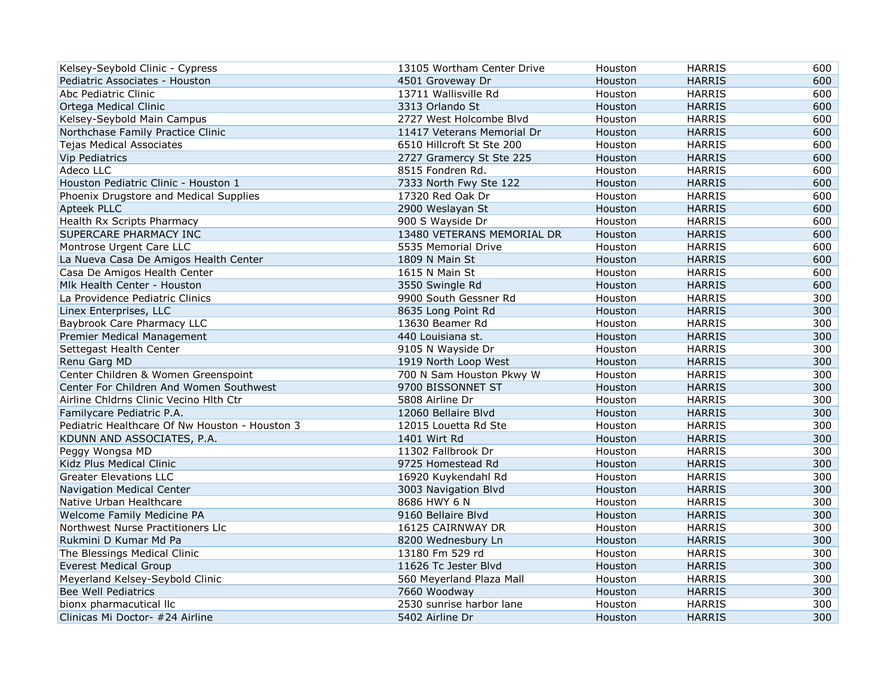| Kelsey-Seybold Clinic - Cypress                | 13105 Wortham Center Drive | Houston | <b>HARRIS</b> | 600 |
|------------------------------------------------|----------------------------|---------|---------------|-----|
| Pediatric Associates - Houston                 | 4501 Groveway Dr           | Houston | <b>HARRIS</b> | 600 |
| Abc Pediatric Clinic                           | 13711 Wallisville Rd       | Houston | <b>HARRIS</b> | 600 |
| Ortega Medical Clinic                          | 3313 Orlando St            | Houston | <b>HARRIS</b> | 600 |
| Kelsey-Seybold Main Campus                     | 2727 West Holcombe Blvd    | Houston | <b>HARRIS</b> | 600 |
| Northchase Family Practice Clinic              | 11417 Veterans Memorial Dr | Houston | <b>HARRIS</b> | 600 |
| <b>Tejas Medical Associates</b>                | 6510 Hillcroft St Ste 200  | Houston | <b>HARRIS</b> | 600 |
| <b>Vip Pediatrics</b>                          | 2727 Gramercy St Ste 225   | Houston | <b>HARRIS</b> | 600 |
| Adeco LLC                                      | 8515 Fondren Rd.           | Houston | <b>HARRIS</b> | 600 |
| Houston Pediatric Clinic - Houston 1           | 7333 North Fwy Ste 122     | Houston | <b>HARRIS</b> | 600 |
| Phoenix Drugstore and Medical Supplies         | 17320 Red Oak Dr           | Houston | <b>HARRIS</b> | 600 |
| Apteek PLLC                                    | 2900 Weslayan St           | Houston | <b>HARRIS</b> | 600 |
| Health Rx Scripts Pharmacy                     | 900 S Wayside Dr           | Houston | <b>HARRIS</b> | 600 |
| SUPERCARE PHARMACY INC                         | 13480 VETERANS MEMORIAL DR | Houston | <b>HARRIS</b> | 600 |
| Montrose Urgent Care LLC                       | 5535 Memorial Drive        | Houston | <b>HARRIS</b> | 600 |
| La Nueva Casa De Amigos Health Center          | 1809 N Main St             | Houston | <b>HARRIS</b> | 600 |
| Casa De Amigos Health Center                   | 1615 N Main St             | Houston | <b>HARRIS</b> | 600 |
| Mlk Health Center - Houston                    | 3550 Swingle Rd            | Houston | <b>HARRIS</b> | 600 |
| La Providence Pediatric Clinics                | 9900 South Gessner Rd      | Houston | <b>HARRIS</b> | 300 |
| Linex Enterprises, LLC                         | 8635 Long Point Rd         | Houston | <b>HARRIS</b> | 300 |
| Baybrook Care Pharmacy LLC                     | 13630 Beamer Rd            | Houston | <b>HARRIS</b> | 300 |
| Premier Medical Management                     | 440 Louisiana st.          | Houston | <b>HARRIS</b> | 300 |
| Settegast Health Center                        | 9105 N Wayside Dr          | Houston | <b>HARRIS</b> | 300 |
| Renu Garg MD                                   | 1919 North Loop West       | Houston | <b>HARRIS</b> | 300 |
| Center Children & Women Greenspoint            | 700 N Sam Houston Pkwy W   | Houston | <b>HARRIS</b> | 300 |
| Center For Children And Women Southwest        | 9700 BISSONNET ST          | Houston | <b>HARRIS</b> | 300 |
| Airline Chldrns Clinic Vecino Hlth Ctr         | 5808 Airline Dr            | Houston | <b>HARRIS</b> | 300 |
| Familycare Pediatric P.A.                      | 12060 Bellaire Blvd        | Houston | <b>HARRIS</b> | 300 |
| Pediatric Healthcare Of Nw Houston - Houston 3 | 12015 Louetta Rd Ste       | Houston | <b>HARRIS</b> | 300 |
| KDUNN AND ASSOCIATES, P.A.                     | 1401 Wirt Rd               | Houston | <b>HARRIS</b> | 300 |
| Peggy Wongsa MD                                | 11302 Fallbrook Dr         | Houston | <b>HARRIS</b> | 300 |
| Kidz Plus Medical Clinic                       | 9725 Homestead Rd          | Houston | <b>HARRIS</b> | 300 |
| <b>Greater Elevations LLC</b>                  | 16920 Kuykendahl Rd        | Houston | <b>HARRIS</b> | 300 |
| Navigation Medical Center                      | 3003 Navigation Blvd       | Houston | <b>HARRIS</b> | 300 |
| Native Urban Healthcare                        | 8686 HWY 6 N               | Houston | <b>HARRIS</b> | 300 |
| Welcome Family Medicine PA                     | 9160 Bellaire Blvd         | Houston | <b>HARRIS</b> | 300 |
| Northwest Nurse Practitioners Llc              | 16125 CAIRNWAY DR          | Houston | <b>HARRIS</b> | 300 |
| Rukmini D Kumar Md Pa                          | 8200 Wednesbury Ln         | Houston | <b>HARRIS</b> | 300 |
| The Blessings Medical Clinic                   | 13180 Fm 529 rd            | Houston | <b>HARRIS</b> | 300 |
| <b>Everest Medical Group</b>                   | 11626 Tc Jester Blvd       | Houston | <b>HARRIS</b> | 300 |
| Meyerland Kelsey-Seybold Clinic                | 560 Meyerland Plaza Mall   | Houston | <b>HARRIS</b> | 300 |
| <b>Bee Well Pediatrics</b>                     | 7660 Woodway               | Houston | <b>HARRIS</b> | 300 |
| bionx pharmacutical llc                        | 2530 sunrise harbor lane   | Houston | <b>HARRIS</b> | 300 |
| Clinicas Mi Doctor- #24 Airline                | 5402 Airline Dr            | Houston | <b>HARRIS</b> | 300 |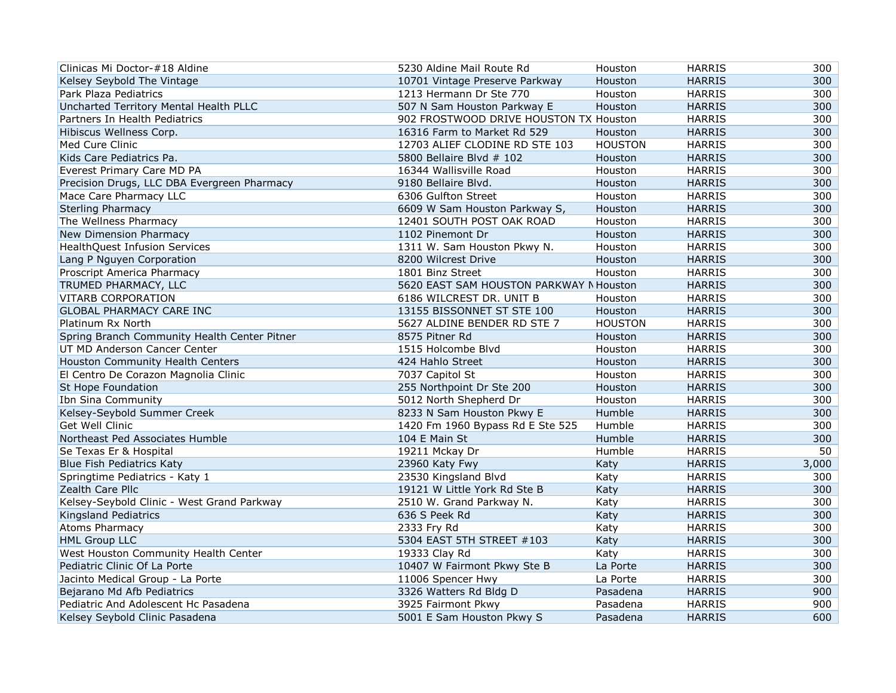| Clinicas Mi Doctor-#18 Aldine                | 5230 Aldine Mail Route Rd               | Houston        | <b>HARRIS</b> | 300   |
|----------------------------------------------|-----------------------------------------|----------------|---------------|-------|
| Kelsey Seybold The Vintage                   | 10701 Vintage Preserve Parkway          | Houston        | <b>HARRIS</b> | 300   |
| Park Plaza Pediatrics                        | 1213 Hermann Dr Ste 770                 | Houston        | <b>HARRIS</b> | 300   |
| Uncharted Territory Mental Health PLLC       | 507 N Sam Houston Parkway E             | Houston        | <b>HARRIS</b> | 300   |
| Partners In Health Pediatrics                | 902 FROSTWOOD DRIVE HOUSTON TX Houston  |                | <b>HARRIS</b> | 300   |
| Hibiscus Wellness Corp.                      | 16316 Farm to Market Rd 529             | Houston        | <b>HARRIS</b> | 300   |
| Med Cure Clinic                              | 12703 ALIEF CLODINE RD STE 103          | <b>HOUSTON</b> | <b>HARRIS</b> | 300   |
| Kids Care Pediatrics Pa.                     | 5800 Bellaire Blvd # 102                | Houston        | <b>HARRIS</b> | 300   |
| Everest Primary Care MD PA                   | 16344 Wallisville Road                  | Houston        | <b>HARRIS</b> | 300   |
| Precision Drugs, LLC DBA Evergreen Pharmacy  | 9180 Bellaire Blvd.                     | Houston        | <b>HARRIS</b> | 300   |
| Mace Care Pharmacy LLC                       | 6306 Gulfton Street                     | Houston        | <b>HARRIS</b> | 300   |
| <b>Sterling Pharmacy</b>                     | 6609 W Sam Houston Parkway S,           | Houston        | <b>HARRIS</b> | 300   |
| The Wellness Pharmacy                        | 12401 SOUTH POST OAK ROAD               | Houston        | <b>HARRIS</b> | 300   |
| New Dimension Pharmacy                       | 1102 Pinemont Dr                        | Houston        | <b>HARRIS</b> | 300   |
| <b>HealthQuest Infusion Services</b>         | 1311 W. Sam Houston Pkwy N.             | Houston        | <b>HARRIS</b> | 300   |
| Lang P Nguyen Corporation                    | 8200 Wilcrest Drive                     | Houston        | <b>HARRIS</b> | 300   |
| Proscript America Pharmacy                   | 1801 Binz Street                        | Houston        | <b>HARRIS</b> | 300   |
| TRUMED PHARMACY, LLC                         | 5620 EAST SAM HOUSTON PARKWAY N Houston |                | <b>HARRIS</b> | 300   |
| <b>VITARB CORPORATION</b>                    | 6186 WILCREST DR. UNIT B                | Houston        | <b>HARRIS</b> | 300   |
| GLOBAL PHARMACY CARE INC                     | 13155 BISSONNET ST STE 100              | Houston        | <b>HARRIS</b> | 300   |
| Platinum Rx North                            | 5627 ALDINE BENDER RD STE 7             | <b>HOUSTON</b> | <b>HARRIS</b> | 300   |
| Spring Branch Community Health Center Pitner | 8575 Pitner Rd                          | Houston        | <b>HARRIS</b> | 300   |
| UT MD Anderson Cancer Center                 | 1515 Holcombe Blvd                      | Houston        | <b>HARRIS</b> | 300   |
| Houston Community Health Centers             | 424 Hahlo Street                        | Houston        | <b>HARRIS</b> | 300   |
| El Centro De Corazon Magnolia Clinic         | 7037 Capitol St                         | Houston        | <b>HARRIS</b> | 300   |
| St Hope Foundation                           | 255 Northpoint Dr Ste 200               | Houston        | <b>HARRIS</b> | 300   |
| Ibn Sina Community                           | 5012 North Shepherd Dr                  | Houston        | <b>HARRIS</b> | 300   |
| Kelsey-Seybold Summer Creek                  | 8233 N Sam Houston Pkwy E               | Humble         | <b>HARRIS</b> | 300   |
| Get Well Clinic                              | 1420 Fm 1960 Bypass Rd E Ste 525        | Humble         | <b>HARRIS</b> | 300   |
| Northeast Ped Associates Humble              | 104 E Main St                           | Humble         | <b>HARRIS</b> | 300   |
| Se Texas Er & Hospital                       | 19211 Mckay Dr                          | Humble         | <b>HARRIS</b> | 50    |
| <b>Blue Fish Pediatrics Katy</b>             | 23960 Katy Fwy                          | Katy           | <b>HARRIS</b> | 3,000 |
| Springtime Pediatrics - Katy 1               | 23530 Kingsland Blvd                    | Katy           | <b>HARRIS</b> | 300   |
| Zealth Care Pllc                             | 19121 W Little York Rd Ste B            | Katy           | <b>HARRIS</b> | 300   |
| Kelsey-Seybold Clinic - West Grand Parkway   | 2510 W. Grand Parkway N.                | Katy           | <b>HARRIS</b> | 300   |
| <b>Kingsland Pediatrics</b>                  | 636 S Peek Rd                           | Katy           | <b>HARRIS</b> | 300   |
| <b>Atoms Pharmacy</b>                        | 2333 Fry Rd                             | Katy           | <b>HARRIS</b> | 300   |
| <b>HML Group LLC</b>                         | 5304 EAST 5TH STREET #103               | Katy           | <b>HARRIS</b> | 300   |
| West Houston Community Health Center         | 19333 Clay Rd                           | Katy           | <b>HARRIS</b> | 300   |
| Pediatric Clinic Of La Porte                 | 10407 W Fairmont Pkwy Ste B             | La Porte       | <b>HARRIS</b> | 300   |
| Jacinto Medical Group - La Porte             | 11006 Spencer Hwy                       | La Porte       | <b>HARRIS</b> | 300   |
| Bejarano Md Afb Pediatrics                   | 3326 Watters Rd Bldg D                  | Pasadena       | <b>HARRIS</b> | 900   |
| Pediatric And Adolescent Hc Pasadena         | 3925 Fairmont Pkwy                      | Pasadena       | <b>HARRIS</b> | 900   |
| Kelsey Seybold Clinic Pasadena               | 5001 E Sam Houston Pkwy S               | Pasadena       | <b>HARRIS</b> | 600   |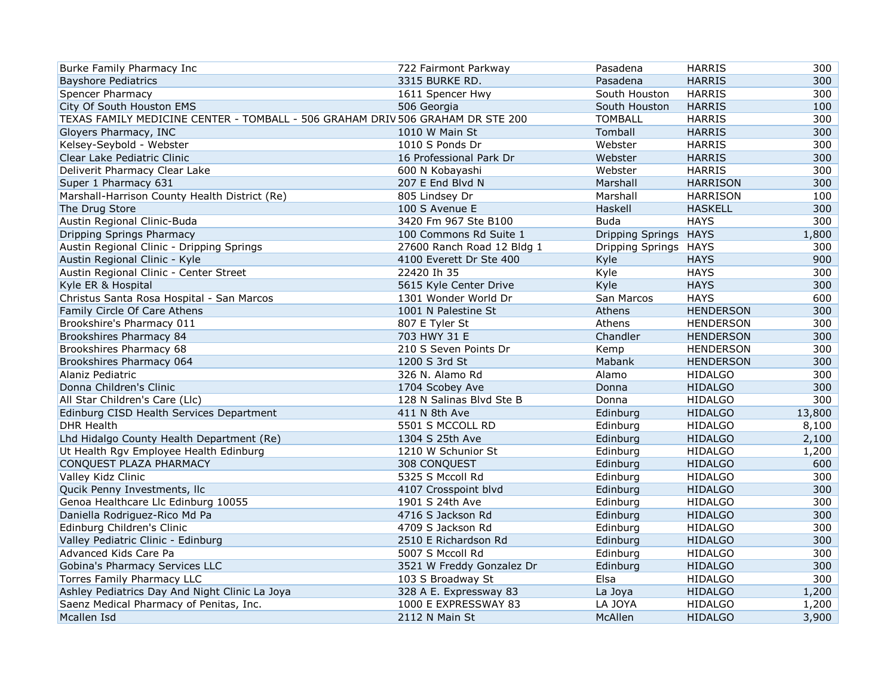| Burke Family Pharmacy Inc                                                      | 722 Fairmont Parkway       | Pasadena              | <b>HARRIS</b>    | 300    |
|--------------------------------------------------------------------------------|----------------------------|-----------------------|------------------|--------|
| <b>Bayshore Pediatrics</b>                                                     | 3315 BURKE RD.             | Pasadena              | <b>HARRIS</b>    | 300    |
| <b>Spencer Pharmacy</b>                                                        | 1611 Spencer Hwy           | South Houston         | <b>HARRIS</b>    | 300    |
| City Of South Houston EMS                                                      | 506 Georgia                | South Houston         | <b>HARRIS</b>    | 100    |
| TEXAS FAMILY MEDICINE CENTER - TOMBALL - 506 GRAHAM DRIV 506 GRAHAM DR STE 200 |                            | <b>TOMBALL</b>        | <b>HARRIS</b>    | 300    |
| Gloyers Pharmacy, INC                                                          | 1010 W Main St             | Tomball               | <b>HARRIS</b>    | 300    |
| Kelsey-Seybold - Webster                                                       | 1010 S Ponds Dr            | Webster               | <b>HARRIS</b>    | 300    |
| Clear Lake Pediatric Clinic                                                    | 16 Professional Park Dr    | Webster               | <b>HARRIS</b>    | 300    |
| Deliverit Pharmacy Clear Lake                                                  | 600 N Kobayashi            | Webster               | <b>HARRIS</b>    | 300    |
| Super 1 Pharmacy 631                                                           | 207 E End Blvd N           | Marshall              | <b>HARRISON</b>  | 300    |
| Marshall-Harrison County Health District (Re)                                  | 805 Lindsey Dr             | Marshall              | <b>HARRISON</b>  | 100    |
| The Drug Store                                                                 | 100 S Avenue E             | Haskell               | <b>HASKELL</b>   | 300    |
| Austin Regional Clinic-Buda                                                    | 3420 Fm 967 Ste B100       | <b>Buda</b>           | <b>HAYS</b>      | 300    |
| Dripping Springs Pharmacy                                                      | 100 Commons Rd Suite 1     | Dripping Springs HAYS |                  | 1,800  |
| Austin Regional Clinic - Dripping Springs                                      | 27600 Ranch Road 12 Bldg 1 | Dripping Springs HAYS |                  | 300    |
| Austin Regional Clinic - Kyle                                                  | 4100 Everett Dr Ste 400    | Kyle                  | <b>HAYS</b>      | 900    |
| Austin Regional Clinic - Center Street                                         | 22420 Ih 35                | Kyle                  | <b>HAYS</b>      | 300    |
| Kyle ER & Hospital                                                             | 5615 Kyle Center Drive     | Kyle                  | <b>HAYS</b>      | 300    |
| Christus Santa Rosa Hospital - San Marcos                                      | 1301 Wonder World Dr       | San Marcos            | <b>HAYS</b>      | 600    |
| Family Circle Of Care Athens                                                   | 1001 N Palestine St        | Athens                | <b>HENDERSON</b> | 300    |
| Brookshire's Pharmacy 011                                                      | 807 E Tyler St             | Athens                | <b>HENDERSON</b> | 300    |
| Brookshires Pharmacy 84                                                        | 703 HWY 31 E               | Chandler              | <b>HENDERSON</b> | 300    |
| Brookshires Pharmacy 68                                                        | 210 S Seven Points Dr      | Kemp                  | <b>HENDERSON</b> | 300    |
| Brookshires Pharmacy 064                                                       | 1200 S 3rd St              | Mabank                | <b>HENDERSON</b> | 300    |
| Alaniz Pediatric                                                               | 326 N. Alamo Rd            | Alamo                 | <b>HIDALGO</b>   | 300    |
| Donna Children's Clinic                                                        | 1704 Scobey Ave            | Donna                 | <b>HIDALGO</b>   | 300    |
| All Star Children's Care (Llc)                                                 | 128 N Salinas Blvd Ste B   | Donna                 | <b>HIDALGO</b>   | 300    |
| Edinburg CISD Health Services Department                                       | 411 N 8th Ave              | Edinburg              | <b>HIDALGO</b>   | 13,800 |
| <b>DHR Health</b>                                                              | 5501 S MCCOLL RD           | Edinburg              | <b>HIDALGO</b>   | 8,100  |
| Lhd Hidalgo County Health Department (Re)                                      | 1304 S 25th Ave            | Edinburg              | <b>HIDALGO</b>   | 2,100  |
| Ut Health Rgv Employee Health Edinburg                                         | 1210 W Schunior St         | Edinburg              | <b>HIDALGO</b>   | 1,200  |
| CONQUEST PLAZA PHARMACY                                                        | 308 CONQUEST               | Edinburg              | <b>HIDALGO</b>   | 600    |
| Valley Kidz Clinic                                                             | 5325 S Mccoll Rd           | Edinburg              | <b>HIDALGO</b>   | 300    |
| Qucik Penny Investments, Ilc                                                   | 4107 Crosspoint blvd       | Edinburg              | <b>HIDALGO</b>   | 300    |
| Genoa Healthcare Llc Edinburg 10055                                            | 1901 S 24th Ave            | Edinburg              | <b>HIDALGO</b>   | 300    |
| Daniella Rodriguez-Rico Md Pa                                                  | 4716 S Jackson Rd          | Edinburg              | <b>HIDALGO</b>   | 300    |
| Edinburg Children's Clinic                                                     | 4709 S Jackson Rd          | Edinburg              | <b>HIDALGO</b>   | 300    |
| Valley Pediatric Clinic - Edinburg                                             | 2510 E Richardson Rd       | Edinburg              | <b>HIDALGO</b>   | 300    |
| Advanced Kids Care Pa                                                          | 5007 S Mccoll Rd           | Edinburg              | <b>HIDALGO</b>   | 300    |
| Gobina's Pharmacy Services LLC                                                 | 3521 W Freddy Gonzalez Dr  | Edinburg              | <b>HIDALGO</b>   | 300    |
| Torres Family Pharmacy LLC                                                     | 103 S Broadway St          | Elsa                  | <b>HIDALGO</b>   | 300    |
| Ashley Pediatrics Day And Night Clinic La Joya                                 | 328 A E. Expressway 83     | La Joya               | <b>HIDALGO</b>   | 1,200  |
| Saenz Medical Pharmacy of Penitas, Inc.                                        | 1000 E EXPRESSWAY 83       | LA JOYA               | <b>HIDALGO</b>   | 1,200  |
| Mcallen Isd                                                                    | 2112 N Main St             | McAllen               | <b>HIDALGO</b>   | 3,900  |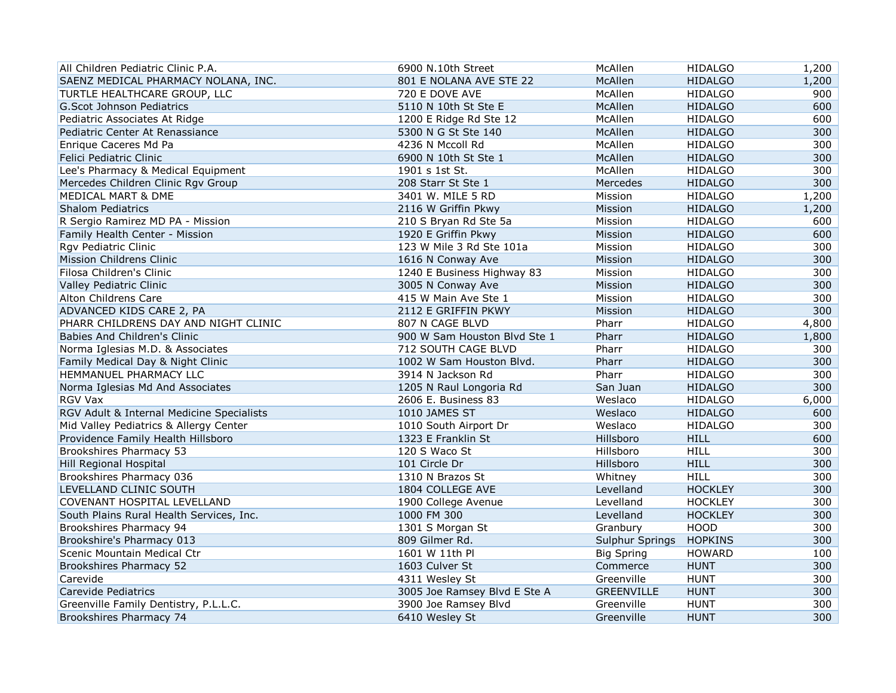| All Children Pediatric Clinic P.A.        | 6900 N.10th Street           | McAllen           | <b>HIDALGO</b> | 1,200 |
|-------------------------------------------|------------------------------|-------------------|----------------|-------|
| SAENZ MEDICAL PHARMACY NOLANA, INC.       | 801 E NOLANA AVE STE 22      | McAllen           | <b>HIDALGO</b> | 1,200 |
| TURTLE HEALTHCARE GROUP, LLC              | 720 E DOVE AVE               | McAllen           | <b>HIDALGO</b> | 900   |
| G.Scot Johnson Pediatrics                 | 5110 N 10th St Ste E         | McAllen           | <b>HIDALGO</b> | 600   |
| Pediatric Associates At Ridge             | 1200 E Ridge Rd Ste 12       | McAllen           | <b>HIDALGO</b> | 600   |
| Pediatric Center At Renassiance           | 5300 N G St Ste 140          | McAllen           | <b>HIDALGO</b> | 300   |
| Enrique Caceres Md Pa                     | 4236 N Mccoll Rd             | McAllen           | <b>HIDALGO</b> | 300   |
| Felici Pediatric Clinic                   | 6900 N 10th St Ste 1         | McAllen           | <b>HIDALGO</b> | 300   |
| Lee's Pharmacy & Medical Equipment        | 1901 s 1st St.               | McAllen           | <b>HIDALGO</b> | 300   |
| Mercedes Children Clinic Rgv Group        | 208 Starr St Ste 1           | Mercedes          | <b>HIDALGO</b> | 300   |
| MEDICAL MART & DME                        | 3401 W. MILE 5 RD            | Mission           | <b>HIDALGO</b> | 1,200 |
| <b>Shalom Pediatrics</b>                  | 2116 W Griffin Pkwy          | Mission           | <b>HIDALGO</b> | 1,200 |
| R Sergio Ramirez MD PA - Mission          | 210 S Bryan Rd Ste 5a        | Mission           | <b>HIDALGO</b> | 600   |
| Family Health Center - Mission            | 1920 E Griffin Pkwy          | Mission           | <b>HIDALGO</b> | 600   |
| Rgv Pediatric Clinic                      | 123 W Mile 3 Rd Ste 101a     | Mission           | <b>HIDALGO</b> | 300   |
| Mission Childrens Clinic                  | 1616 N Conway Ave            | Mission           | <b>HIDALGO</b> | 300   |
| Filosa Children's Clinic                  | 1240 E Business Highway 83   | Mission           | <b>HIDALGO</b> | 300   |
| Valley Pediatric Clinic                   | 3005 N Conway Ave            | Mission           | <b>HIDALGO</b> | 300   |
| Alton Childrens Care                      | 415 W Main Ave Ste 1         | Mission           | <b>HIDALGO</b> | 300   |
| ADVANCED KIDS CARE 2, PA                  | 2112 E GRIFFIN PKWY          | Mission           | <b>HIDALGO</b> | 300   |
| PHARR CHILDRENS DAY AND NIGHT CLINIC      | 807 N CAGE BLVD              | Pharr             | <b>HIDALGO</b> | 4,800 |
| Babies And Children's Clinic              | 900 W Sam Houston Blvd Ste 1 | Pharr             | <b>HIDALGO</b> | 1,800 |
| Norma Iglesias M.D. & Associates          | 712 SOUTH CAGE BLVD          | Pharr             | <b>HIDALGO</b> | 300   |
| Family Medical Day & Night Clinic         | 1002 W Sam Houston Blvd.     | Pharr             | <b>HIDALGO</b> | 300   |
| HEMMANUEL PHARMACY LLC                    | 3914 N Jackson Rd            | Pharr             | <b>HIDALGO</b> | 300   |
| Norma Iglesias Md And Associates          | 1205 N Raul Longoria Rd      | San Juan          | <b>HIDALGO</b> | 300   |
| RGV Vax                                   | 2606 E. Business 83          | Weslaco           | <b>HIDALGO</b> | 6,000 |
| RGV Adult & Internal Medicine Specialists | 1010 JAMES ST                | Weslaco           | <b>HIDALGO</b> | 600   |
| Mid Valley Pediatrics & Allergy Center    | 1010 South Airport Dr        | Weslaco           | <b>HIDALGO</b> | 300   |
| Providence Family Health Hillsboro        | 1323 E Franklin St           | Hillsboro         | <b>HILL</b>    | 600   |
| Brookshires Pharmacy 53                   | 120 S Waco St                | Hillsboro         | <b>HILL</b>    | 300   |
| Hill Regional Hospital                    | 101 Circle Dr                | Hillsboro         | <b>HILL</b>    | 300   |
| Brookshires Pharmacy 036                  | 1310 N Brazos St             | Whitney           | <b>HILL</b>    | 300   |
| LEVELLAND CLINIC SOUTH                    | 1804 COLLEGE AVE             | Levelland         | <b>HOCKLEY</b> | 300   |
| COVENANT HOSPITAL LEVELLAND               | 1900 College Avenue          | Levelland         | <b>HOCKLEY</b> | 300   |
| South Plains Rural Health Services, Inc.  | 1000 FM 300                  | Levelland         | <b>HOCKLEY</b> | 300   |
| Brookshires Pharmacy 94                   | 1301 S Morgan St             | Granbury          | <b>HOOD</b>    | 300   |
| Brookshire's Pharmacy 013                 | 809 Gilmer Rd.               | Sulphur Springs   | <b>HOPKINS</b> | 300   |
| Scenic Mountain Medical Ctr               | 1601 W 11th Pl               | <b>Big Spring</b> | <b>HOWARD</b>  | 100   |
| Brookshires Pharmacy 52                   | 1603 Culver St               | Commerce          | <b>HUNT</b>    | 300   |
| Carevide                                  | 4311 Wesley St               | Greenville        | <b>HUNT</b>    | 300   |
| Carevide Pediatrics                       | 3005 Joe Ramsey Blvd E Ste A | <b>GREENVILLE</b> | <b>HUNT</b>    | 300   |
| Greenville Family Dentistry, P.L.L.C.     | 3900 Joe Ramsey Blvd         | Greenville        | <b>HUNT</b>    | 300   |
| Brookshires Pharmacy 74                   | 6410 Wesley St               | Greenville        | <b>HUNT</b>    | 300   |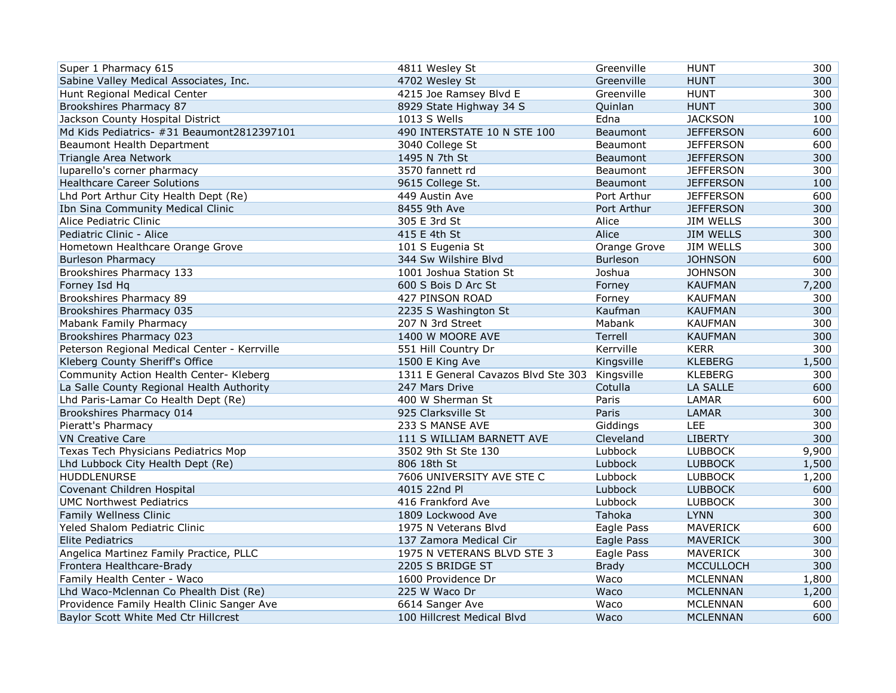| Super 1 Pharmacy 615                         | 4811 Wesley St                      | Greenville      | <b>HUNT</b>      | 300   |
|----------------------------------------------|-------------------------------------|-----------------|------------------|-------|
| Sabine Valley Medical Associates, Inc.       | 4702 Wesley St                      | Greenville      | <b>HUNT</b>      | 300   |
| Hunt Regional Medical Center                 | 4215 Joe Ramsey Blvd E              | Greenville      | <b>HUNT</b>      | 300   |
| Brookshires Pharmacy 87                      | 8929 State Highway 34 S             | Quinlan         | <b>HUNT</b>      | 300   |
| Jackson County Hospital District             | 1013 S Wells                        | Edna            | <b>JACKSON</b>   | 100   |
| Md Kids Pediatrics- #31 Beaumont2812397101   | 490 INTERSTATE 10 N STE 100         | <b>Beaumont</b> | <b>JEFFERSON</b> | 600   |
| Beaumont Health Department                   | 3040 College St                     | Beaumont        | <b>JEFFERSON</b> | 600   |
| Triangle Area Network                        | 1495 N 7th St                       | Beaumont        | <b>JEFFERSON</b> | 300   |
| luparello's corner pharmacy                  | 3570 fannett rd                     | Beaumont        | <b>JEFFERSON</b> | 300   |
| <b>Healthcare Career Solutions</b>           | 9615 College St.                    | Beaumont        | <b>JEFFERSON</b> | 100   |
| Lhd Port Arthur City Health Dept (Re)        | 449 Austin Ave                      | Port Arthur     | <b>JEFFERSON</b> | 600   |
| Ibn Sina Community Medical Clinic            | 8455 9th Ave                        | Port Arthur     | <b>JEFFERSON</b> | 300   |
| Alice Pediatric Clinic                       | 305 E 3rd St                        | Alice           | <b>JIM WELLS</b> | 300   |
| Pediatric Clinic - Alice                     | 415 E 4th St                        | Alice           | <b>JIM WELLS</b> | 300   |
| Hometown Healthcare Orange Grove             | 101 S Eugenia St                    | Orange Grove    | <b>JIM WELLS</b> | 300   |
| <b>Burleson Pharmacy</b>                     | 344 Sw Wilshire Blvd                | <b>Burleson</b> | <b>JOHNSON</b>   | 600   |
| Brookshires Pharmacy 133                     | 1001 Joshua Station St              | Joshua          | <b>JOHNSON</b>   | 300   |
| Forney Isd Hq                                | 600 S Bois D Arc St                 | Forney          | <b>KAUFMAN</b>   | 7,200 |
| Brookshires Pharmacy 89                      | 427 PINSON ROAD                     | Forney          | <b>KAUFMAN</b>   | 300   |
| Brookshires Pharmacy 035                     | 2235 S Washington St                | Kaufman         | <b>KAUFMAN</b>   | 300   |
| Mabank Family Pharmacy                       | 207 N 3rd Street                    | Mabank          | <b>KAUFMAN</b>   | 300   |
| Brookshires Pharmacy 023                     | 1400 W MOORE AVE                    | Terrell         | <b>KAUFMAN</b>   | 300   |
| Peterson Regional Medical Center - Kerrville | 551 Hill Country Dr                 | Kerrville       | <b>KERR</b>      | 300   |
| Kleberg County Sheriff's Office              | 1500 E King Ave                     | Kingsville      | <b>KLEBERG</b>   | 1,500 |
| Community Action Health Center- Kleberg      | 1311 E General Cavazos Blvd Ste 303 | Kingsville      | <b>KLEBERG</b>   | 300   |
| La Salle County Regional Health Authority    | 247 Mars Drive                      | Cotulla         | LA SALLE         | 600   |
| Lhd Paris-Lamar Co Health Dept (Re)          | 400 W Sherman St                    | Paris           | LAMAR            | 600   |
| Brookshires Pharmacy 014                     | 925 Clarksville St                  | Paris           | LAMAR            | 300   |
| Pieratt's Pharmacy                           | 233 S MANSE AVE                     | Giddings        | LEE              | 300   |
| <b>VN Creative Care</b>                      | 111 S WILLIAM BARNETT AVE           | Cleveland       | <b>LIBERTY</b>   | 300   |
| Texas Tech Physicians Pediatrics Mop         | 3502 9th St Ste 130                 | Lubbock         | <b>LUBBOCK</b>   | 9,900 |
| Lhd Lubbock City Health Dept (Re)            | 806 18th St                         | Lubbock         | <b>LUBBOCK</b>   | 1,500 |
| <b>HUDDLENURSE</b>                           | 7606 UNIVERSITY AVE STE C           | Lubbock         | <b>LUBBOCK</b>   | 1,200 |
| Covenant Children Hospital                   | 4015 22nd Pl                        | Lubbock         | <b>LUBBOCK</b>   | 600   |
| <b>UMC Northwest Pediatrics</b>              | 416 Frankford Ave                   | Lubbock         | <b>LUBBOCK</b>   | 300   |
| Family Wellness Clinic                       | 1809 Lockwood Ave                   | Tahoka          | <b>LYNN</b>      | 300   |
| Yeled Shalom Pediatric Clinic                | 1975 N Veterans Blvd                | Eagle Pass      | <b>MAVERICK</b>  | 600   |
| <b>Elite Pediatrics</b>                      | 137 Zamora Medical Cir              | Eagle Pass      | <b>MAVERICK</b>  | 300   |
| Angelica Martinez Family Practice, PLLC      | 1975 N VETERANS BLVD STE 3          | Eagle Pass      | MAVERICK         | 300   |
| Frontera Healthcare-Brady                    | 2205 S BRIDGE ST                    | <b>Brady</b>    | <b>MCCULLOCH</b> | 300   |
| Family Health Center - Waco                  | 1600 Providence Dr                  | Waco            | MCLENNAN         | 1,800 |
| Lhd Waco-Mclennan Co Phealth Dist (Re)       | 225 W Waco Dr                       | Waco            | <b>MCLENNAN</b>  | 1,200 |
| Providence Family Health Clinic Sanger Ave   | 6614 Sanger Ave                     | Waco            | <b>MCLENNAN</b>  | 600   |
| Baylor Scott White Med Ctr Hillcrest         | 100 Hillcrest Medical Blvd          | Waco            | <b>MCLENNAN</b>  | 600   |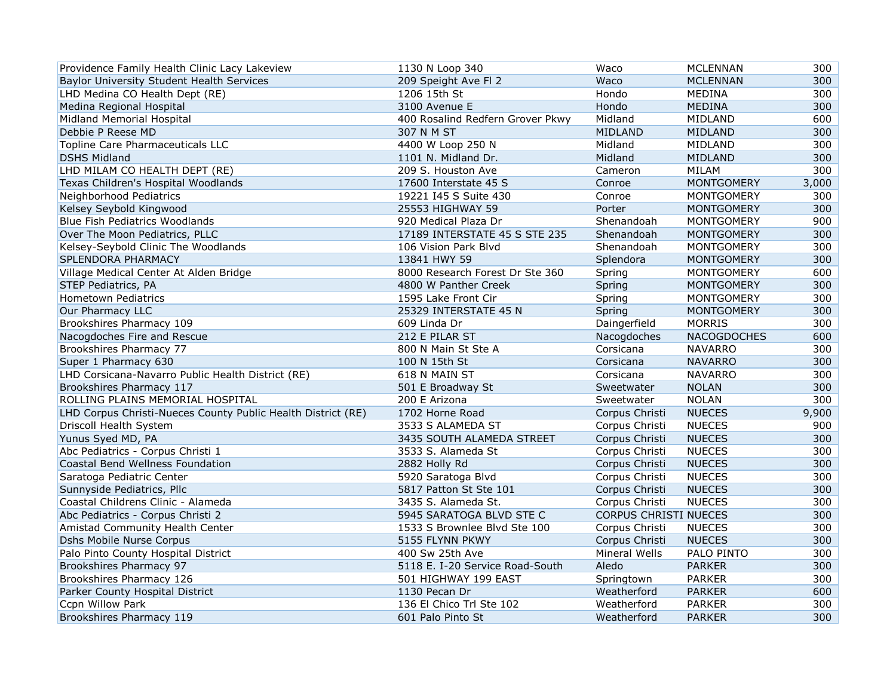| Providence Family Health Clinic Lacy Lakeview                | 1130 N Loop 340                  | Waco                  | <b>MCLENNAN</b>    | 300   |
|--------------------------------------------------------------|----------------------------------|-----------------------|--------------------|-------|
| Baylor University Student Health Services                    | 209 Speight Ave FI 2             | Waco                  | <b>MCLENNAN</b>    | 300   |
| LHD Medina CO Health Dept (RE)                               | 1206 15th St                     | Hondo                 | <b>MEDINA</b>      | 300   |
| Medina Regional Hospital                                     | 3100 Avenue E                    | Hondo                 | <b>MEDINA</b>      | 300   |
| Midland Memorial Hospital                                    | 400 Rosalind Redfern Grover Pkwy | Midland               | MIDLAND            | 600   |
| Debbie P Reese MD                                            | 307 N M ST                       | <b>MIDLAND</b>        | MIDLAND            | 300   |
| Topline Care Pharmaceuticals LLC                             | 4400 W Loop 250 N                | Midland               | MIDLAND            | 300   |
| <b>DSHS Midland</b>                                          | 1101 N. Midland Dr.              | Midland               | <b>MIDLAND</b>     | 300   |
| LHD MILAM CO HEALTH DEPT (RE)                                | 209 S. Houston Ave               | Cameron               | MILAM              | 300   |
| Texas Children's Hospital Woodlands                          | 17600 Interstate 45 S            | Conroe                | <b>MONTGOMERY</b>  | 3,000 |
| Neighborhood Pediatrics                                      | 19221 I45 S Suite 430            | Conroe                | <b>MONTGOMERY</b>  | 300   |
| Kelsey Seybold Kingwood                                      | 25553 HIGHWAY 59                 | Porter                | <b>MONTGOMERY</b>  | 300   |
| Blue Fish Pediatrics Woodlands                               | 920 Medical Plaza Dr             | Shenandoah            | <b>MONTGOMERY</b>  | 900   |
| Over The Moon Pediatrics, PLLC                               | 17189 INTERSTATE 45 S STE 235    | Shenandoah            | <b>MONTGOMERY</b>  | 300   |
| Kelsey-Seybold Clinic The Woodlands                          | 106 Vision Park Blyd             | Shenandoah            | <b>MONTGOMERY</b>  | 300   |
| SPLENDORA PHARMACY                                           | 13841 HWY 59                     | Splendora             | <b>MONTGOMERY</b>  | 300   |
| Village Medical Center At Alden Bridge                       | 8000 Research Forest Dr Ste 360  | Spring                | MONTGOMERY         | 600   |
| STEP Pediatrics, PA                                          | 4800 W Panther Creek             | Spring                | <b>MONTGOMERY</b>  | 300   |
| <b>Hometown Pediatrics</b>                                   | 1595 Lake Front Cir              | Spring                | <b>MONTGOMERY</b>  | 300   |
| Our Pharmacy LLC                                             | 25329 INTERSTATE 45 N            | Spring                | <b>MONTGOMERY</b>  | 300   |
| Brookshires Pharmacy 109                                     | 609 Linda Dr                     | Daingerfield          | <b>MORRIS</b>      | 300   |
| Nacogdoches Fire and Rescue                                  | 212 E PILAR ST                   | Nacogdoches           | <b>NACOGDOCHES</b> | 600   |
| Brookshires Pharmacy 77                                      | 800 N Main St Ste A              | Corsicana             | <b>NAVARRO</b>     | 300   |
| Super 1 Pharmacy 630                                         | 100 N 15th St                    | Corsicana             | <b>NAVARRO</b>     | 300   |
| LHD Corsicana-Navarro Public Health District (RE)            | 618 N MAIN ST                    | Corsicana             | <b>NAVARRO</b>     | 300   |
| Brookshires Pharmacy 117                                     | 501 E Broadway St                | Sweetwater            | <b>NOLAN</b>       | 300   |
| ROLLING PLAINS MEMORIAL HOSPITAL                             | 200 E Arizona                    | Sweetwater            | <b>NOLAN</b>       | 300   |
| LHD Corpus Christi-Nueces County Public Health District (RE) | 1702 Horne Road                  | Corpus Christi        | <b>NUECES</b>      | 9,900 |
| Driscoll Health System                                       | 3533 S ALAMEDA ST                | Corpus Christi        | <b>NUECES</b>      | 900   |
| Yunus Syed MD, PA                                            | 3435 SOUTH ALAMEDA STREET        | Corpus Christi        | <b>NUECES</b>      | 300   |
| Abc Pediatrics - Corpus Christi 1                            | 3533 S. Alameda St               | Corpus Christi        | <b>NUECES</b>      | 300   |
| Coastal Bend Wellness Foundation                             | 2882 Holly Rd                    | Corpus Christi        | <b>NUECES</b>      | 300   |
| Saratoga Pediatric Center                                    | 5920 Saratoga Blvd               | Corpus Christi        | <b>NUECES</b>      | 300   |
| Sunnyside Pediatrics, Pllc                                   | 5817 Patton St Ste 101           | Corpus Christi        | <b>NUECES</b>      | 300   |
| Coastal Childrens Clinic - Alameda                           | 3435 S. Alameda St.              | Corpus Christi        | <b>NUECES</b>      | 300   |
| Abc Pediatrics - Corpus Christi 2                            | 5945 SARATOGA BLVD STE C         | CORPUS CHRISTI NUECES |                    | 300   |
| Amistad Community Health Center                              | 1533 S Brownlee Blvd Ste 100     | Corpus Christi        | <b>NUECES</b>      | 300   |
| Dshs Mobile Nurse Corpus                                     | 5155 FLYNN PKWY                  | Corpus Christi        | <b>NUECES</b>      | 300   |
| Palo Pinto County Hospital District                          | 400 Sw 25th Ave                  | Mineral Wells         | PALO PINTO         | 300   |
| Brookshires Pharmacy 97                                      | 5118 E. I-20 Service Road-South  | Aledo                 | <b>PARKER</b>      | 300   |
| Brookshires Pharmacy 126                                     | 501 HIGHWAY 199 EAST             | Springtown            | <b>PARKER</b>      | 300   |
| Parker County Hospital District                              | 1130 Pecan Dr                    | Weatherford           | <b>PARKER</b>      | 600   |
| Ccpn Willow Park                                             | 136 El Chico Trl Ste 102         | Weatherford           | <b>PARKER</b>      | 300   |
| Brookshires Pharmacy 119                                     | 601 Palo Pinto St                | Weatherford           | <b>PARKER</b>      | 300   |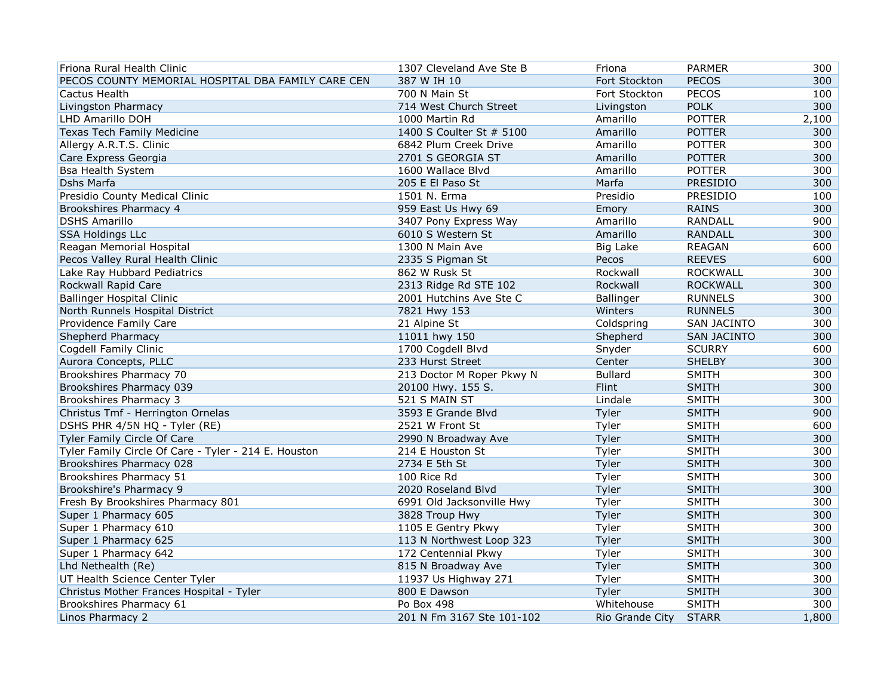| Friona Rural Health Clinic                           | 1307 Cleveland Ave Ste B  | Friona          | <b>PARMER</b>      | 300   |
|------------------------------------------------------|---------------------------|-----------------|--------------------|-------|
| PECOS COUNTY MEMORIAL HOSPITAL DBA FAMILY CARE CEN   | 387 W IH 10               | Fort Stockton   | <b>PECOS</b>       | 300   |
| Cactus Health                                        | 700 N Main St             | Fort Stockton   | <b>PECOS</b>       | 100   |
| Livingston Pharmacy                                  | 714 West Church Street    | Livingston      | <b>POLK</b>        | 300   |
| LHD Amarillo DOH                                     | 1000 Martin Rd            | Amarillo        | <b>POTTER</b>      | 2,100 |
| Texas Tech Family Medicine                           | 1400 S Coulter St # 5100  | Amarillo        | <b>POTTER</b>      | 300   |
| Allergy A.R.T.S. Clinic                              | 6842 Plum Creek Drive     | Amarillo        | <b>POTTER</b>      | 300   |
| Care Express Georgia                                 | 2701 S GEORGIA ST         | Amarillo        | <b>POTTER</b>      | 300   |
| <b>Bsa Health System</b>                             | 1600 Wallace Blvd         | Amarillo        | <b>POTTER</b>      | 300   |
| Dshs Marfa                                           | 205 E El Paso St          | Marfa           | PRESIDIO           | 300   |
| Presidio County Medical Clinic                       | 1501 N. Erma              | Presidio        | PRESIDIO           | 100   |
| Brookshires Pharmacy 4                               | 959 East Us Hwy 69        | Emory           | <b>RAINS</b>       | 300   |
| <b>DSHS Amarillo</b>                                 | 3407 Pony Express Way     | Amarillo        | RANDALL            | 900   |
| <b>SSA Holdings LLc</b>                              | 6010 S Western St         | Amarillo        | <b>RANDALL</b>     | 300   |
| Reagan Memorial Hospital                             | 1300 N Main Ave           | <b>Big Lake</b> | <b>REAGAN</b>      | 600   |
| Pecos Valley Rural Health Clinic                     | 2335 S Pigman St          | Pecos           | <b>REEVES</b>      | 600   |
| Lake Ray Hubbard Pediatrics                          | 862 W Rusk St             | Rockwall        | <b>ROCKWALL</b>    | 300   |
| Rockwall Rapid Care                                  | 2313 Ridge Rd STE 102     | Rockwall        | <b>ROCKWALL</b>    | 300   |
| <b>Ballinger Hospital Clinic</b>                     | 2001 Hutchins Ave Ste C   | Ballinger       | <b>RUNNELS</b>     | 300   |
| North Runnels Hospital District                      | 7821 Hwy 153              | Winters         | <b>RUNNELS</b>     | 300   |
| Providence Family Care                               | 21 Alpine St              | Coldspring      | <b>SAN JACINTO</b> | 300   |
| <b>Shepherd Pharmacy</b>                             | 11011 hwy 150             | Shepherd        | <b>SAN JACINTO</b> | 300   |
| Cogdell Family Clinic                                | 1700 Cogdell Blvd         | Snyder          | <b>SCURRY</b>      | 600   |
| Aurora Concepts, PLLC                                | 233 Hurst Street          | Center          | <b>SHELBY</b>      | 300   |
| Brookshires Pharmacy 70                              | 213 Doctor M Roper Pkwy N | <b>Bullard</b>  | <b>SMITH</b>       | 300   |
| Brookshires Pharmacy 039                             | 20100 Hwy. 155 S.         | Flint           | <b>SMITH</b>       | 300   |
| Brookshires Pharmacy 3                               | 521 S MAIN ST             | Lindale         | <b>SMITH</b>       | 300   |
| Christus Tmf - Herrington Ornelas                    | 3593 E Grande Blvd        | Tyler           | <b>SMITH</b>       | 900   |
| DSHS PHR 4/5N HQ - Tyler (RE)                        | 2521 W Front St           | Tyler           | <b>SMITH</b>       | 600   |
| Tyler Family Circle Of Care                          | 2990 N Broadway Ave       | Tyler           | <b>SMITH</b>       | 300   |
| Tyler Family Circle Of Care - Tyler - 214 E. Houston | 214 E Houston St          | Tyler           | <b>SMITH</b>       | 300   |
| Brookshires Pharmacy 028                             | 2734 E 5th St             | Tyler           | <b>SMITH</b>       | 300   |
| Brookshires Pharmacy 51                              | 100 Rice Rd               | Tyler           | <b>SMITH</b>       | 300   |
| Brookshire's Pharmacy 9                              | 2020 Roseland Blvd        | Tyler           | <b>SMITH</b>       | 300   |
| Fresh By Brookshires Pharmacy 801                    | 6991 Old Jacksonville Hwy | Tyler           | <b>SMITH</b>       | 300   |
| Super 1 Pharmacy 605                                 | 3828 Troup Hwy            | Tyler           | <b>SMITH</b>       | 300   |
| Super 1 Pharmacy 610                                 | 1105 E Gentry Pkwy        | Tyler           | <b>SMITH</b>       | 300   |
| Super 1 Pharmacy 625                                 | 113 N Northwest Loop 323  | Tyler           | <b>SMITH</b>       | 300   |
| Super 1 Pharmacy 642                                 | 172 Centennial Pkwy       | Tyler           | <b>SMITH</b>       | 300   |
| Lhd Nethealth (Re)                                   | 815 N Broadway Ave        | Tyler           | <b>SMITH</b>       | 300   |
| UT Health Science Center Tyler                       | 11937 Us Highway 271      | Tyler           | <b>SMITH</b>       | 300   |
| Christus Mother Frances Hospital - Tyler             | 800 E Dawson              | Tyler           | <b>SMITH</b>       | 300   |
| Brookshires Pharmacy 61                              | Po Box 498                | Whitehouse      | <b>SMITH</b>       | 300   |
| Linos Pharmacy 2                                     | 201 N Fm 3167 Ste 101-102 | Rio Grande City | <b>STARR</b>       | 1,800 |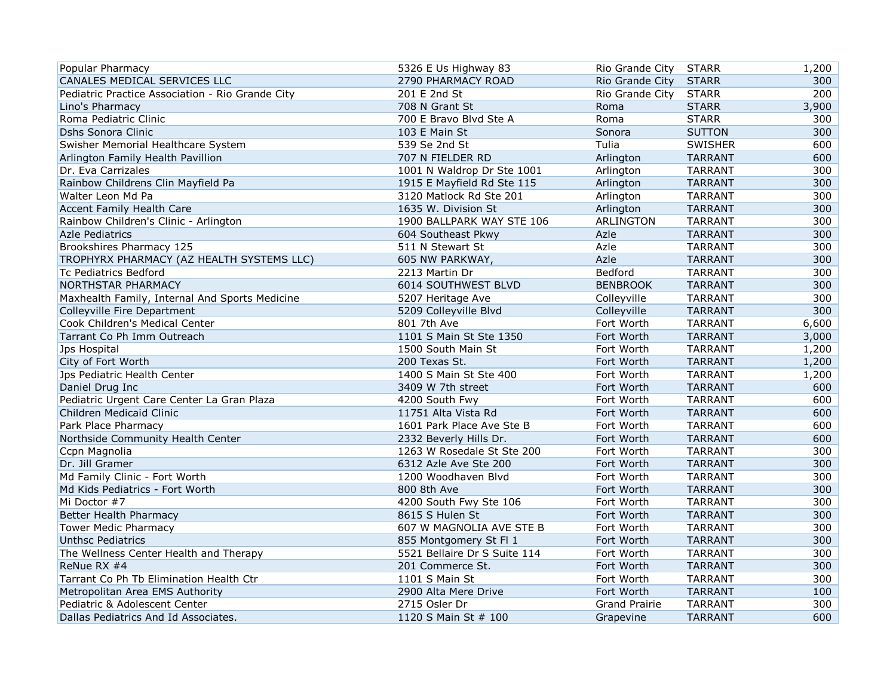| Popular Pharmacy                                 | 5326 E Us Highway 83         | Rio Grande City      | <b>STARR</b>   | 1,200 |
|--------------------------------------------------|------------------------------|----------------------|----------------|-------|
| CANALES MEDICAL SERVICES LLC                     | 2790 PHARMACY ROAD           | Rio Grande City      | <b>STARR</b>   | 300   |
| Pediatric Practice Association - Rio Grande City | 201 E 2nd St                 | Rio Grande City      | <b>STARR</b>   | 200   |
| Lino's Pharmacy                                  | 708 N Grant St               | Roma                 | <b>STARR</b>   | 3,900 |
| Roma Pediatric Clinic                            | 700 E Bravo Blvd Ste A       | Roma                 | <b>STARR</b>   | 300   |
| <b>Dshs Sonora Clinic</b>                        | 103 E Main St                | Sonora               | <b>SUTTON</b>  | 300   |
| Swisher Memorial Healthcare System               | 539 Se 2nd St                | Tulia                | <b>SWISHER</b> | 600   |
| Arlington Family Health Pavillion                | 707 N FIELDER RD             | Arlington            | <b>TARRANT</b> | 600   |
| Dr. Eva Carrizales                               | 1001 N Waldrop Dr Ste 1001   | Arlington            | <b>TARRANT</b> | 300   |
| Rainbow Childrens Clin Mayfield Pa               | 1915 E Mayfield Rd Ste 115   | Arlington            | <b>TARRANT</b> | 300   |
| Walter Leon Md Pa                                | 3120 Matlock Rd Ste 201      | Arlington            | <b>TARRANT</b> | 300   |
| <b>Accent Family Health Care</b>                 | 1635 W. Division St          | Arlington            | <b>TARRANT</b> | 300   |
| Rainbow Children's Clinic - Arlington            | 1900 BALLPARK WAY STE 106    | ARLINGTON            | <b>TARRANT</b> | 300   |
| <b>Azle Pediatrics</b>                           | 604 Southeast Pkwy           | Azle                 | <b>TARRANT</b> | 300   |
| Brookshires Pharmacy 125                         | 511 N Stewart St             | Azle                 | <b>TARRANT</b> | 300   |
| TROPHYRX PHARMACY (AZ HEALTH SYSTEMS LLC)        | 605 NW PARKWAY,              | Azle                 | <b>TARRANT</b> | 300   |
| <b>Tc Pediatrics Bedford</b>                     | 2213 Martin Dr               | Bedford              | <b>TARRANT</b> | 300   |
| <b>NORTHSTAR PHARMACY</b>                        | 6014 SOUTHWEST BLVD          | <b>BENBROOK</b>      | <b>TARRANT</b> | 300   |
| Maxhealth Family, Internal And Sports Medicine   | 5207 Heritage Ave            | Colleyville          | <b>TARRANT</b> | 300   |
| Colleyville Fire Department                      | 5209 Colleyville Blvd        | Colleyville          | <b>TARRANT</b> | 300   |
| Cook Children's Medical Center                   | 801 7th Ave                  | Fort Worth           | <b>TARRANT</b> | 6,600 |
| Tarrant Co Ph Imm Outreach                       | 1101 S Main St Ste 1350      | Fort Worth           | <b>TARRANT</b> | 3,000 |
| Jps Hospital                                     | 1500 South Main St           | Fort Worth           | <b>TARRANT</b> | 1,200 |
| City of Fort Worth                               | 200 Texas St.                | Fort Worth           | <b>TARRANT</b> | 1,200 |
| Jps Pediatric Health Center                      | 1400 S Main St Ste 400       | Fort Worth           | <b>TARRANT</b> | 1,200 |
| Daniel Drug Inc                                  | 3409 W 7th street            | Fort Worth           | <b>TARRANT</b> | 600   |
| Pediatric Urgent Care Center La Gran Plaza       | 4200 South Fwy               | Fort Worth           | <b>TARRANT</b> | 600   |
| Children Medicaid Clinic                         | 11751 Alta Vista Rd          | Fort Worth           | <b>TARRANT</b> | 600   |
| Park Place Pharmacy                              | 1601 Park Place Ave Ste B    | Fort Worth           | <b>TARRANT</b> | 600   |
| Northside Community Health Center                | 2332 Beverly Hills Dr.       | Fort Worth           | <b>TARRANT</b> | 600   |
| Ccpn Magnolia                                    | 1263 W Rosedale St Ste 200   | Fort Worth           | <b>TARRANT</b> | 300   |
| Dr. Jill Gramer                                  | 6312 Azle Ave Ste 200        | Fort Worth           | <b>TARRANT</b> | 300   |
| Md Family Clinic - Fort Worth                    | 1200 Woodhaven Blvd          | Fort Worth           | <b>TARRANT</b> | 300   |
| Md Kids Pediatrics - Fort Worth                  | 800 8th Ave                  | Fort Worth           | <b>TARRANT</b> | 300   |
| Mi Doctor #7                                     | 4200 South Fwy Ste 106       | Fort Worth           | <b>TARRANT</b> | 300   |
| Better Health Pharmacy                           | 8615 S Hulen St              | Fort Worth           | <b>TARRANT</b> | 300   |
| <b>Tower Medic Pharmacy</b>                      | 607 W MAGNOLIA AVE STE B     | Fort Worth           | <b>TARRANT</b> | 300   |
| <b>Unthsc Pediatrics</b>                         | 855 Montgomery St Fl 1       | Fort Worth           | <b>TARRANT</b> | 300   |
| The Wellness Center Health and Therapy           | 5521 Bellaire Dr S Suite 114 | Fort Worth           | <b>TARRANT</b> | 300   |
| ReNue RX #4                                      | 201 Commerce St.             | Fort Worth           | <b>TARRANT</b> | 300   |
| Tarrant Co Ph Tb Elimination Health Ctr          | 1101 S Main St               | Fort Worth           | <b>TARRANT</b> | 300   |
| Metropolitan Area EMS Authority                  | 2900 Alta Mere Drive         | Fort Worth           | <b>TARRANT</b> | 100   |
| Pediatric & Adolescent Center                    | 2715 Osler Dr                | <b>Grand Prairie</b> | <b>TARRANT</b> | 300   |
| Dallas Pediatrics And Id Associates.             | 1120 S Main St # 100         | Grapevine            | <b>TARRANT</b> | 600   |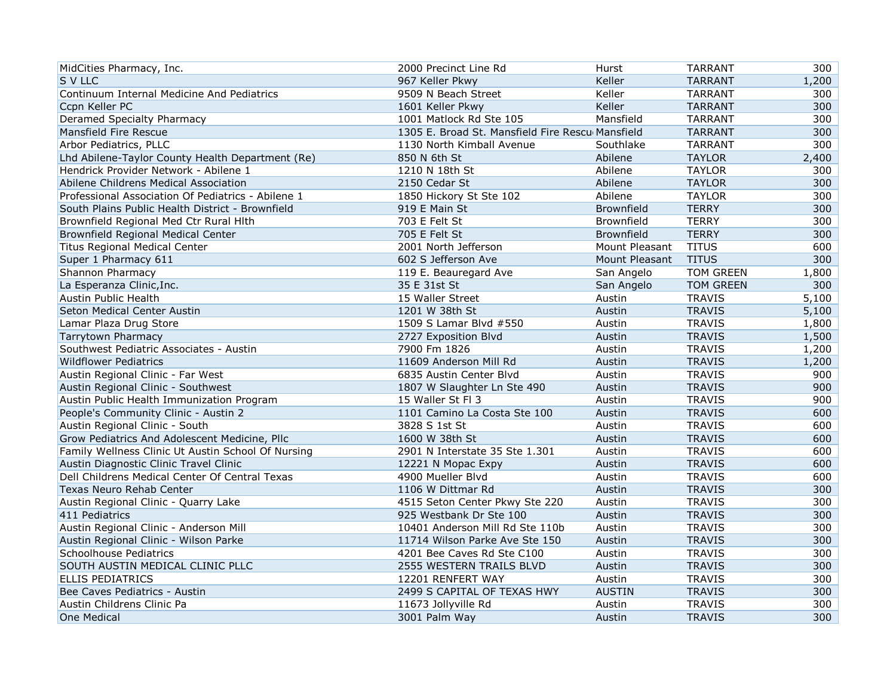| MidCities Pharmacy, Inc.                           | 2000 Precinct Line Rd                            | Hurst             | <b>TARRANT</b>   | 300   |
|----------------------------------------------------|--------------------------------------------------|-------------------|------------------|-------|
| S V LLC                                            | 967 Keller Pkwy                                  | Keller            | <b>TARRANT</b>   | 1,200 |
| Continuum Internal Medicine And Pediatrics         | 9509 N Beach Street                              | Keller            | <b>TARRANT</b>   | 300   |
| Ccpn Keller PC                                     | 1601 Keller Pkwy                                 | Keller            | <b>TARRANT</b>   | 300   |
| Deramed Specialty Pharmacy                         | 1001 Matlock Rd Ste 105                          | Mansfield         | <b>TARRANT</b>   | 300   |
| Mansfield Fire Rescue                              | 1305 E. Broad St. Mansfield Fire Rescu Mansfield |                   | <b>TARRANT</b>   | 300   |
| Arbor Pediatrics, PLLC                             | 1130 North Kimball Avenue                        | Southlake         | <b>TARRANT</b>   | 300   |
| Lhd Abilene-Taylor County Health Department (Re)   | 850 N 6th St                                     | Abilene           | <b>TAYLOR</b>    | 2,400 |
| Hendrick Provider Network - Abilene 1              | 1210 N 18th St                                   | Abilene           | <b>TAYLOR</b>    | 300   |
| Abilene Childrens Medical Association              | 2150 Cedar St                                    | Abilene           | <b>TAYLOR</b>    | 300   |
| Professional Association Of Pediatrics - Abilene 1 | 1850 Hickory St Ste 102                          | Abilene           | <b>TAYLOR</b>    | 300   |
| South Plains Public Health District - Brownfield   | 919 E Main St                                    | Brownfield        | <b>TERRY</b>     | 300   |
| Brownfield Regional Med Ctr Rural Hith             | 703 E Felt St                                    | Brownfield        | <b>TERRY</b>     | 300   |
| Brownfield Regional Medical Center                 | 705 E Felt St                                    | <b>Brownfield</b> | <b>TERRY</b>     | 300   |
| <b>Titus Regional Medical Center</b>               | 2001 North Jefferson                             | Mount Pleasant    | <b>TITUS</b>     | 600   |
| Super 1 Pharmacy 611                               | 602 S Jefferson Ave                              | Mount Pleasant    | <b>TITUS</b>     | 300   |
| Shannon Pharmacy                                   | 119 E. Beauregard Ave                            | San Angelo        | TOM GREEN        | 1,800 |
| La Esperanza Clinic, Inc.                          | 35 E 31st St                                     | San Angelo        | <b>TOM GREEN</b> | 300   |
| Austin Public Health                               | 15 Waller Street                                 | Austin            | <b>TRAVIS</b>    | 5,100 |
| Seton Medical Center Austin                        | 1201 W 38th St                                   | Austin            | <b>TRAVIS</b>    | 5,100 |
| Lamar Plaza Drug Store                             | 1509 S Lamar Blvd #550                           | Austin            | <b>TRAVIS</b>    | 1,800 |
| <b>Tarrytown Pharmacy</b>                          | 2727 Exposition Blvd                             | Austin            | <b>TRAVIS</b>    | 1,500 |
| Southwest Pediatric Associates - Austin            | 7900 Fm 1826                                     | Austin            | <b>TRAVIS</b>    | 1,200 |
| <b>Wildflower Pediatrics</b>                       | 11609 Anderson Mill Rd                           | Austin            | <b>TRAVIS</b>    | 1,200 |
| Austin Regional Clinic - Far West                  | 6835 Austin Center Blvd                          | Austin            | <b>TRAVIS</b>    | 900   |
| Austin Regional Clinic - Southwest                 | 1807 W Slaughter Ln Ste 490                      | Austin            | <b>TRAVIS</b>    | 900   |
| Austin Public Health Immunization Program          | 15 Waller St Fl 3                                | Austin            | <b>TRAVIS</b>    | 900   |
| People's Community Clinic - Austin 2               | 1101 Camino La Costa Ste 100                     | Austin            | <b>TRAVIS</b>    | 600   |
| Austin Regional Clinic - South                     | 3828 S 1st St                                    | Austin            | <b>TRAVIS</b>    | 600   |
| Grow Pediatrics And Adolescent Medicine, Pllc      | 1600 W 38th St                                   | Austin            | <b>TRAVIS</b>    | 600   |
| Family Wellness Clinic Ut Austin School Of Nursing | 2901 N Interstate 35 Ste 1.301                   | Austin            | <b>TRAVIS</b>    | 600   |
| Austin Diagnostic Clinic Travel Clinic             | 12221 N Mopac Expy                               | Austin            | <b>TRAVIS</b>    | 600   |
| Dell Childrens Medical Center Of Central Texas     | 4900 Mueller Blvd                                | Austin            | <b>TRAVIS</b>    | 600   |
| <b>Texas Neuro Rehab Center</b>                    | 1106 W Dittmar Rd                                | Austin            | <b>TRAVIS</b>    | 300   |
| Austin Regional Clinic - Quarry Lake               | 4515 Seton Center Pkwy Ste 220                   | Austin            | <b>TRAVIS</b>    | 300   |
| 411 Pediatrics                                     | 925 Westbank Dr Ste 100                          | Austin            | <b>TRAVIS</b>    | 300   |
| Austin Regional Clinic - Anderson Mill             | 10401 Anderson Mill Rd Ste 110b                  | Austin            | <b>TRAVIS</b>    | 300   |
| Austin Regional Clinic - Wilson Parke              | 11714 Wilson Parke Ave Ste 150                   | Austin            | <b>TRAVIS</b>    | 300   |
| <b>Schoolhouse Pediatrics</b>                      | 4201 Bee Caves Rd Ste C100                       | Austin            | <b>TRAVIS</b>    | 300   |
| SOUTH AUSTIN MEDICAL CLINIC PLLC                   | 2555 WESTERN TRAILS BLVD                         | Austin            | <b>TRAVIS</b>    | 300   |
| <b>ELLIS PEDIATRICS</b>                            | 12201 RENFERT WAY                                | Austin            | <b>TRAVIS</b>    | 300   |
| Bee Caves Pediatrics - Austin                      | 2499 S CAPITAL OF TEXAS HWY                      | <b>AUSTIN</b>     | <b>TRAVIS</b>    | 300   |
| Austin Childrens Clinic Pa                         | 11673 Jollyville Rd                              | Austin            | <b>TRAVIS</b>    | 300   |
| One Medical                                        | 3001 Palm Way                                    | Austin            | <b>TRAVIS</b>    | 300   |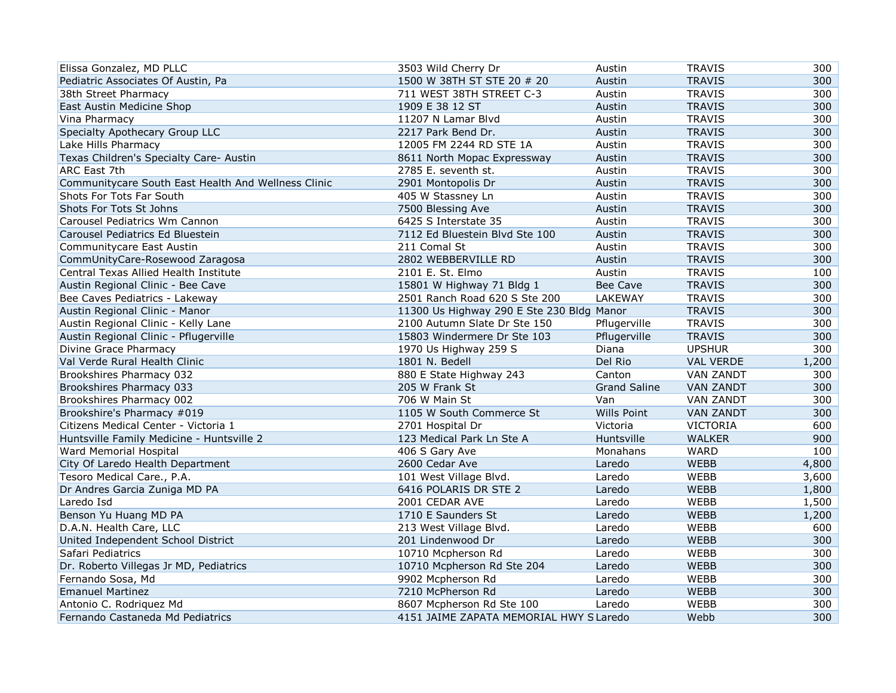| Elissa Gonzalez, MD PLLC                            | 3503 Wild Cherry Dr                       | Austin              | <b>TRAVIS</b>    | 300   |
|-----------------------------------------------------|-------------------------------------------|---------------------|------------------|-------|
| Pediatric Associates Of Austin, Pa                  | 1500 W 38TH ST STE 20 # 20                | Austin              | <b>TRAVIS</b>    | 300   |
| 38th Street Pharmacy                                | 711 WEST 38TH STREET C-3                  | Austin              | <b>TRAVIS</b>    | 300   |
| East Austin Medicine Shop                           | 1909 E 38 12 ST                           | Austin              | <b>TRAVIS</b>    | 300   |
| Vina Pharmacy                                       | 11207 N Lamar Blvd                        | Austin              | <b>TRAVIS</b>    | 300   |
| Specialty Apothecary Group LLC                      | 2217 Park Bend Dr.                        | Austin              | <b>TRAVIS</b>    | 300   |
| Lake Hills Pharmacy                                 | 12005 FM 2244 RD STE 1A                   | Austin              | <b>TRAVIS</b>    | 300   |
| Texas Children's Specialty Care- Austin             | 8611 North Mopac Expressway               | Austin              | <b>TRAVIS</b>    | 300   |
| ARC East 7th                                        | 2785 E. seventh st.                       | Austin              | <b>TRAVIS</b>    | 300   |
| Communitycare South East Health And Wellness Clinic | 2901 Montopolis Dr                        | Austin              | <b>TRAVIS</b>    | 300   |
| Shots For Tots Far South                            | 405 W Stassney Ln                         | Austin              | <b>TRAVIS</b>    | 300   |
| Shots For Tots St Johns                             | 7500 Blessing Ave                         | Austin              | <b>TRAVIS</b>    | 300   |
| Carousel Pediatrics Wm Cannon                       | 6425 S Interstate 35                      | Austin              | <b>TRAVIS</b>    | 300   |
| Carousel Pediatrics Ed Bluestein                    | 7112 Ed Bluestein Blvd Ste 100            | Austin              | <b>TRAVIS</b>    | 300   |
| Communitycare East Austin                           | 211 Comal St                              | Austin              | <b>TRAVIS</b>    | 300   |
| CommUnityCare-Rosewood Zaragosa                     | 2802 WEBBERVILLE RD                       | Austin              | <b>TRAVIS</b>    | 300   |
| Central Texas Allied Health Institute               | 2101 E. St. Elmo                          | Austin              | <b>TRAVIS</b>    | 100   |
| Austin Regional Clinic - Bee Cave                   | 15801 W Highway 71 Bldg 1                 | Bee Cave            | <b>TRAVIS</b>    | 300   |
| Bee Caves Pediatrics - Lakeway                      | 2501 Ranch Road 620 S Ste 200             | LAKEWAY             | <b>TRAVIS</b>    | 300   |
| Austin Regional Clinic - Manor                      | 11300 Us Highway 290 E Ste 230 Bldg Manor |                     | <b>TRAVIS</b>    | 300   |
| Austin Regional Clinic - Kelly Lane                 | 2100 Autumn Slate Dr Ste 150              | Pflugerville        | <b>TRAVIS</b>    | 300   |
| Austin Regional Clinic - Pflugerville               | 15803 Windermere Dr Ste 103               | Pflugerville        | <b>TRAVIS</b>    | 300   |
| Divine Grace Pharmacy                               | 1970 Us Highway 259 S                     | Diana               | <b>UPSHUR</b>    | 300   |
| Val Verde Rural Health Clinic                       | 1801 N. Bedell                            | Del Rio             | <b>VAL VERDE</b> | 1,200 |
| Brookshires Pharmacy 032                            | 880 E State Highway 243                   | Canton              | <b>VAN ZANDT</b> | 300   |
| Brookshires Pharmacy 033                            | 205 W Frank St                            | <b>Grand Saline</b> | <b>VAN ZANDT</b> | 300   |
| Brookshires Pharmacy 002                            | 706 W Main St                             | Van                 | <b>VAN ZANDT</b> | 300   |
| Brookshire's Pharmacy #019                          | 1105 W South Commerce St                  | Wills Point         | <b>VAN ZANDT</b> | 300   |
| Citizens Medical Center - Victoria 1                | 2701 Hospital Dr                          | Victoria            | <b>VICTORIA</b>  | 600   |
| Huntsville Family Medicine - Huntsville 2           | 123 Medical Park Ln Ste A                 | Huntsville          | <b>WALKER</b>    | 900   |
| Ward Memorial Hospital                              | 406 S Gary Ave                            | Monahans            | <b>WARD</b>      | 100   |
| City Of Laredo Health Department                    | 2600 Cedar Ave                            | Laredo              | <b>WEBB</b>      | 4,800 |
| Tesoro Medical Care., P.A.                          | 101 West Village Blvd.                    | Laredo              | WEBB             | 3,600 |
| Dr Andres Garcia Zuniga MD PA                       | 6416 POLARIS DR STE 2                     | Laredo              | <b>WEBB</b>      | 1,800 |
| Laredo Isd                                          | 2001 CEDAR AVE                            | Laredo              | WEBB             | 1,500 |
| Benson Yu Huang MD PA                               | 1710 E Saunders St                        | Laredo              | <b>WEBB</b>      | 1,200 |
| D.A.N. Health Care, LLC                             | 213 West Village Blvd.                    | Laredo              | WEBB             | 600   |
| United Independent School District                  | 201 Lindenwood Dr                         | Laredo              | <b>WEBB</b>      | 300   |
| Safari Pediatrics                                   | 10710 Mcpherson Rd                        | Laredo              | WEBB             | 300   |
| Dr. Roberto Villegas Jr MD, Pediatrics              | 10710 Mcpherson Rd Ste 204                | Laredo              | <b>WEBB</b>      | 300   |
| Fernando Sosa, Md                                   | 9902 Mcpherson Rd                         | Laredo              | WEBB             | 300   |
| <b>Emanuel Martinez</b>                             | 7210 McPherson Rd                         | Laredo              | <b>WEBB</b>      | 300   |
| Antonio C. Rodriguez Md                             | 8607 Mcpherson Rd Ste 100                 | Laredo              | <b>WEBB</b>      | 300   |
| Fernando Castaneda Md Pediatrics                    | 4151 JAIME ZAPATA MEMORIAL HWY S Laredo   |                     | Webb             | 300   |